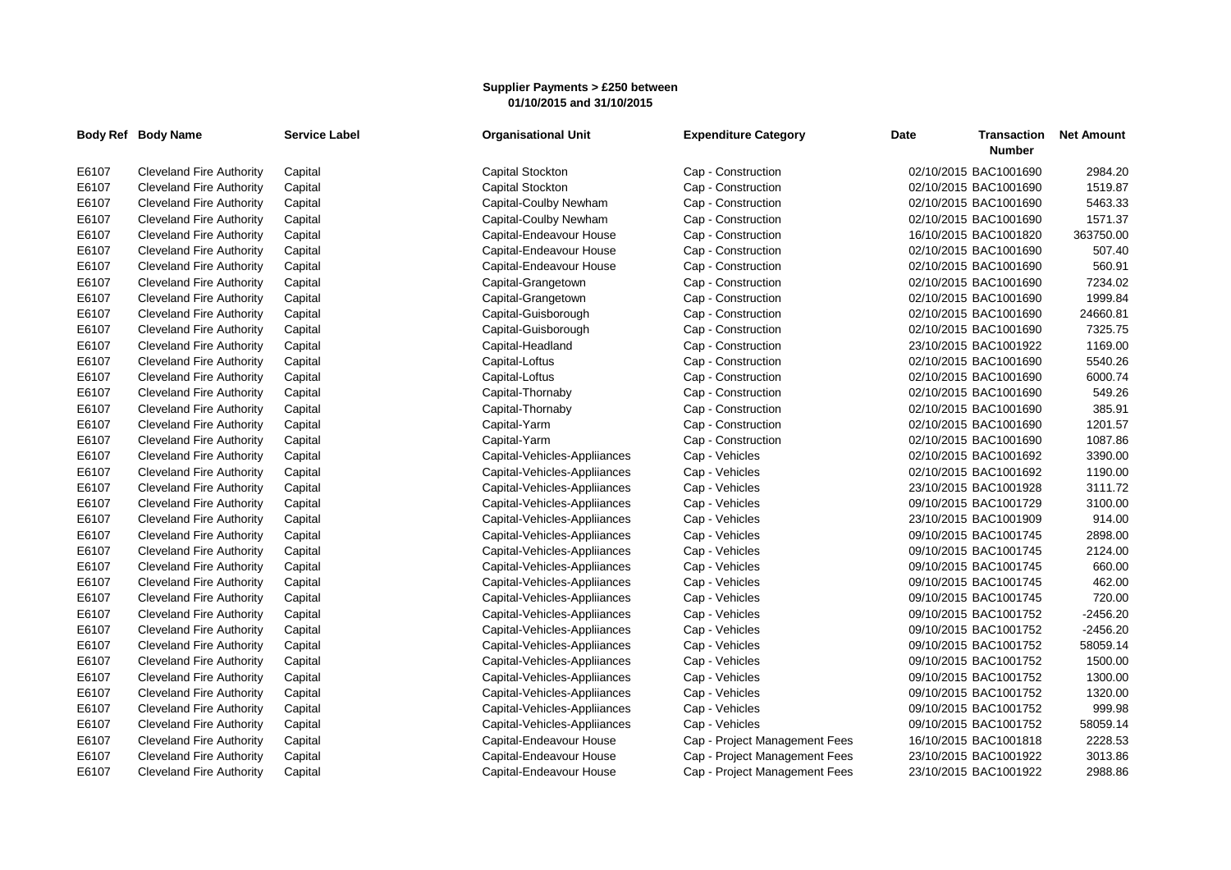## **Supplier Payments > £250 between 01/10/2015 and 31/10/2015**

|       | Body Ref Body Name              | <b>Service Label</b> | <b>Organisational Unit</b>   | <b>Expenditure Category</b>   | <b>Date</b><br><b>Transaction</b><br><b>Number</b> | <b>Net Amount</b> |
|-------|---------------------------------|----------------------|------------------------------|-------------------------------|----------------------------------------------------|-------------------|
| E6107 | <b>Cleveland Fire Authority</b> | Capital              | <b>Capital Stockton</b>      | Cap - Construction            | 02/10/2015 BAC1001690                              | 2984.20           |
| E6107 | <b>Cleveland Fire Authority</b> | Capital              | Capital Stockton             | Cap - Construction            | 02/10/2015 BAC1001690                              | 1519.87           |
| E6107 | <b>Cleveland Fire Authority</b> | Capital              | Capital-Coulby Newham        | Cap - Construction            | 02/10/2015 BAC1001690                              | 5463.33           |
| E6107 | <b>Cleveland Fire Authority</b> | Capital              | Capital-Coulby Newham        | Cap - Construction            | 02/10/2015 BAC1001690                              | 1571.37           |
| E6107 | <b>Cleveland Fire Authority</b> | Capital              | Capital-Endeavour House      | Cap - Construction            | 16/10/2015 BAC1001820                              | 363750.00         |
| E6107 | <b>Cleveland Fire Authority</b> | Capital              | Capital-Endeavour House      | Cap - Construction            | 02/10/2015 BAC1001690                              | 507.40            |
| E6107 | <b>Cleveland Fire Authority</b> | Capital              | Capital-Endeavour House      | Cap - Construction            | 02/10/2015 BAC1001690                              | 560.91            |
| E6107 | <b>Cleveland Fire Authority</b> | Capital              | Capital-Grangetown           | Cap - Construction            | 02/10/2015 BAC1001690                              | 7234.02           |
| E6107 | <b>Cleveland Fire Authority</b> | Capital              | Capital-Grangetown           | Cap - Construction            | 02/10/2015 BAC1001690                              | 1999.84           |
| E6107 | <b>Cleveland Fire Authority</b> | Capital              | Capital-Guisborough          | Cap - Construction            | 02/10/2015 BAC1001690                              | 24660.81          |
| E6107 | <b>Cleveland Fire Authority</b> | Capital              | Capital-Guisborough          | Cap - Construction            | 02/10/2015 BAC1001690                              | 7325.75           |
| E6107 | <b>Cleveland Fire Authority</b> | Capital              | Capital-Headland             | Cap - Construction            | 23/10/2015 BAC1001922                              | 1169.00           |
| E6107 | <b>Cleveland Fire Authority</b> | Capital              | Capital-Loftus               | Cap - Construction            | 02/10/2015 BAC1001690                              | 5540.26           |
| E6107 | <b>Cleveland Fire Authority</b> | Capital              | Capital-Loftus               | Cap - Construction            | 02/10/2015 BAC1001690                              | 6000.74           |
| E6107 | <b>Cleveland Fire Authority</b> | Capital              | Capital-Thornaby             | Cap - Construction            | 02/10/2015 BAC1001690                              | 549.26            |
| E6107 | <b>Cleveland Fire Authority</b> | Capital              | Capital-Thornaby             | Cap - Construction            | 02/10/2015 BAC1001690                              | 385.91            |
| E6107 | <b>Cleveland Fire Authority</b> | Capital              | Capital-Yarm                 | Cap - Construction            | 02/10/2015 BAC1001690                              | 1201.57           |
| E6107 | <b>Cleveland Fire Authority</b> | Capital              | Capital-Yarm                 | Cap - Construction            | 02/10/2015 BAC1001690                              | 1087.86           |
| E6107 | <b>Cleveland Fire Authority</b> | Capital              | Capital-Vehicles-Appliiances | Cap - Vehicles                | 02/10/2015 BAC1001692                              | 3390.00           |
| E6107 | <b>Cleveland Fire Authority</b> | Capital              | Capital-Vehicles-Appliiances | Cap - Vehicles                | 02/10/2015 BAC1001692                              | 1190.00           |
| E6107 | <b>Cleveland Fire Authority</b> | Capital              | Capital-Vehicles-Appliiances | Cap - Vehicles                | 23/10/2015 BAC1001928                              | 3111.72           |
| E6107 | <b>Cleveland Fire Authority</b> | Capital              | Capital-Vehicles-Appliiances | Cap - Vehicles                | 09/10/2015 BAC1001729                              | 3100.00           |
| E6107 | <b>Cleveland Fire Authority</b> | Capital              | Capital-Vehicles-Appliiances | Cap - Vehicles                | 23/10/2015 BAC1001909                              | 914.00            |
| E6107 | <b>Cleveland Fire Authority</b> | Capital              | Capital-Vehicles-Appliiances | Cap - Vehicles                | 09/10/2015 BAC1001745                              | 2898.00           |
| E6107 | <b>Cleveland Fire Authority</b> | Capital              | Capital-Vehicles-Appliiances | Cap - Vehicles                | 09/10/2015 BAC1001745                              | 2124.00           |
| E6107 | <b>Cleveland Fire Authority</b> | Capital              | Capital-Vehicles-Appliiances | Cap - Vehicles                | 09/10/2015 BAC1001745                              | 660.00            |
| E6107 | <b>Cleveland Fire Authority</b> | Capital              | Capital-Vehicles-Appliiances | Cap - Vehicles                | 09/10/2015 BAC1001745                              | 462.00            |
| E6107 | <b>Cleveland Fire Authority</b> | Capital              | Capital-Vehicles-Appliiances | Cap - Vehicles                | 09/10/2015 BAC1001745                              | 720.00            |
| E6107 | <b>Cleveland Fire Authority</b> | Capital              | Capital-Vehicles-Appliiances | Cap - Vehicles                | 09/10/2015 BAC1001752                              | $-2456.20$        |
| E6107 | <b>Cleveland Fire Authority</b> | Capital              | Capital-Vehicles-Appliiances | Cap - Vehicles                | 09/10/2015 BAC1001752                              | $-2456.20$        |
| E6107 | <b>Cleveland Fire Authority</b> | Capital              | Capital-Vehicles-Appliiances | Cap - Vehicles                | 09/10/2015 BAC1001752                              | 58059.14          |
| E6107 | <b>Cleveland Fire Authority</b> | Capital              | Capital-Vehicles-Appliiances | Cap - Vehicles                | 09/10/2015 BAC1001752                              | 1500.00           |
| E6107 | <b>Cleveland Fire Authority</b> | Capital              | Capital-Vehicles-Appliiances | Cap - Vehicles                | 09/10/2015 BAC1001752                              | 1300.00           |
| E6107 | <b>Cleveland Fire Authority</b> | Capital              | Capital-Vehicles-Appliiances | Cap - Vehicles                | 09/10/2015 BAC1001752                              | 1320.00           |
| E6107 | <b>Cleveland Fire Authority</b> | Capital              | Capital-Vehicles-Appliiances | Cap - Vehicles                | 09/10/2015 BAC1001752                              | 999.98            |
| E6107 | <b>Cleveland Fire Authority</b> | Capital              | Capital-Vehicles-Appliiances | Cap - Vehicles                | 09/10/2015 BAC1001752                              | 58059.14          |
| E6107 | <b>Cleveland Fire Authority</b> | Capital              | Capital-Endeavour House      | Cap - Project Management Fees | 16/10/2015 BAC1001818                              | 2228.53           |
| E6107 | <b>Cleveland Fire Authority</b> | Capital              | Capital-Endeavour House      | Cap - Project Management Fees | 23/10/2015 BAC1001922                              | 3013.86           |
| E6107 | <b>Cleveland Fire Authority</b> | Capital              | Capital-Endeavour House      | Cap - Project Management Fees | 23/10/2015 BAC1001922                              | 2988.86           |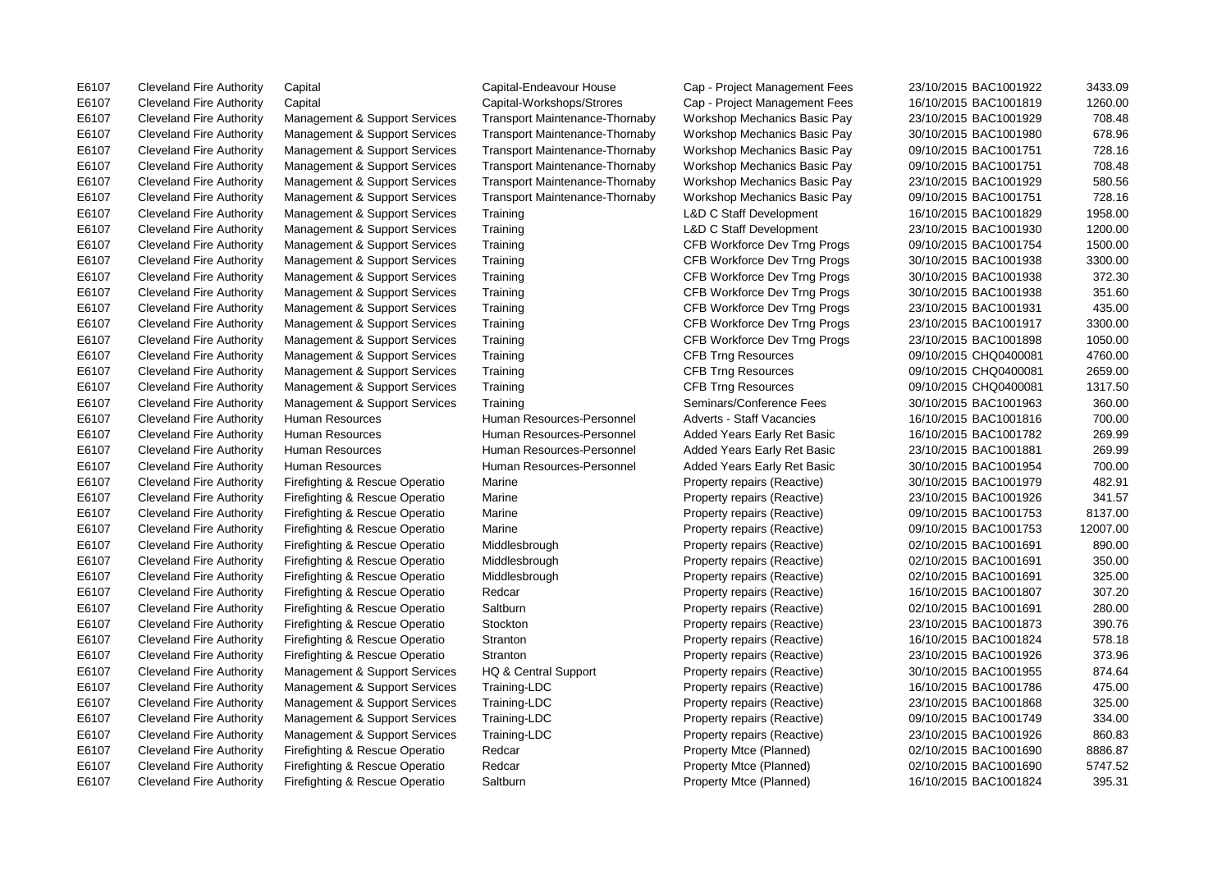E6107 Cleveland Fire Authority Capital Capital-Endeavour House Cap - Project Management Fees 23/10/2015 BAC1001922 3433.09 E6107 Cleveland Fire Authority Firefighting & Rescue Operatio Saltburn Property Mtce (Planned) 16/10/2015 BAC1001824 395.31

E6107 Cleveland Fire Authority Capital Capital-Workshops/Strores Cap - Project Management Fees 16/10/2015 BAC1001819 1260.00 E6107 Cleveland Fire Authority Management & Support Services Transport Maintenance-Thornaby Workshop Mechanics Basic Pay 23/10/2015 BAC1001929 708.48 E6107 Cleveland Fire Authority Management & Support Services Transport Maintenance-Thornaby Workshop Mechanics Basic Pay 30/10/2015 BAC1001980 678.96 E6107 Cleveland Fire Authority Management & Support Services Transport Maintenance-Thornaby Workshop Mechanics Basic Pay 09/10/2015 BAC1001751 728.16 E6107 Cleveland Fire Authority Management & Support Services Transport Maintenance-Thornaby Workshop Mechanics Basic Pay 09/10/2015 BAC1001751 708.48 E6107 Cleveland Fire Authority Management & Support Services Transport Maintenance-Thornaby Workshop Mechanics Basic Pay 23/10/2015 BAC1001929 580.56 E6107 Cleveland Fire Authority Management & Support Services Transport Maintenance-Thornaby Workshop Mechanics Basic Pay 09/10/2015 BAC1001751 728.16 E6107 Cleveland Fire Authority Management & Support Services Training L&D C Staff Development 16/10/2015 BAC1001829 1958.00 E6107 Cleveland Fire Authority Management & Support Services Training L&D C Staff Development 23/10/2015 BAC1001930 1200.00 E6107 Cleveland Fire Authority Management & Support Services Training CFB Workforce Dev Trng Progs 09/10/2015 BAC1001754 1500.00 E6107 Cleveland Fire Authority Management & Support Services Training CFB Workforce Dev Trng Progs 30/10/2015 BAC1001938 3300.00 E6107 Cleveland Fire Authority Management & Support Services Training CFB Workforce Dev Trng Progs 30/10/2015 BAC1001938 372.30 E6107 Cleveland Fire Authority Management & Support Services Training CFB Workforce Dev Trng Progs 30/10/2015 BAC1001938 351.60 E6107 Cleveland Fire Authority Management & Support Services Training CFB Workforce Dev Trng Progs 23/10/2015 BAC1001931 435.00 E6107 Cleveland Fire Authority Management & Support Services Training CFB Workforce Dev Trng Progs 23/10/2015 BAC1001917 3300.00 E6107 Cleveland Fire Authority Management & Support Services Training CFB Workforce Dev Trng Progs 23/10/2015 BAC1001898 1050.00 E6107 Cleveland Fire Authority Management & Support Services Training CFB Trng Resources 09/10/2015 CHQ0400081 4760.00 E6107 Cleveland Fire Authority Management & Support Services Training CFB Trng Resources 09/10/2015 CHQ0400081 2659.00 E6107 Cleveland Fire Authority Management & Support Services Training CFB Trng Resources 09/10/2015 CHQ0400081 1317.50 E6107 Cleveland Fire Authority Management & Support Services Training Seminars/Conference Fees 30/10/2015 BAC1001963 360.00 E6107 Cleveland Fire Authority Human Resources Human Resources-Personnel Adverts - Staff Vacancies 16/10/2015 BAC1001816 700.00 E6107 Cleveland Fire Authority Human Resources Human Resources-Personnel Added Years Early Ret Basic 16/10/2015 BAC1001782 269.99 E6107 Cleveland Fire Authority Human Resources Human Resources-Personnel Added Years Early Ret Basic 23/10/2015 BAC1001881 269.99 E6107 Cleveland Fire Authority Human Resources Human Resources-Personnel Added Years Early Ret Basic 30/10/2015 BAC1001954 700.00 E6107 Cleveland Fire Authority Firefighting & Rescue Operatio Marine Property repairs (Reactive) 30/10/2015 BAC1001979 482.91 E6107 Cleveland Fire Authority Firefighting & Rescue Operatio Marine Property repairs (Reactive) 23/10/2015 BAC1001926 341.57 E6107 Cleveland Fire Authority Firefighting & Rescue Operatio Marine Property repairs (Reactive) 09/10/2015 BAC1001753 8137.00 E6107 Cleveland Fire Authority Firefighting & Rescue Operatio Marine Property repairs (Reactive) 09/10/2015 BAC1001753 12007.00 E6107 Cleveland Fire Authority Firefighting & Rescue Operatio Middlesbrough Property repairs (Reactive) 02/10/2015 BAC1001691 890.00 E6107 Cleveland Fire Authority Firefighting & Rescue Operatio Middlesbrough Property repairs (Reactive) 02/10/2015 BAC1001691 350.00 E6107 Cleveland Fire Authority Firefighting & Rescue Operatio Middlesbrough Property repairs (Reactive) 02/10/2015 BAC1001691 325.00 E6107 Cleveland Fire Authority Firefighting & Rescue Operatio Redcar Property repairs (Reactive) 16/10/2015 BAC1001807 307.20 E6107 Cleveland Fire Authority Firefighting & Rescue Operatio Saltburn Property repairs (Reactive) 02/10/2015 BAC1001691 280.00 E6107 Cleveland Fire Authority Firefighting & Rescue Operatio Stockton Property repairs (Reactive) 23/10/2015 BAC1001873 390.76 E6107 Cleveland Fire Authority Firefighting & Rescue Operatio Stranton Property repairs (Reactive) 16/10/2015 BAC1001824 578.18 E6107 Cleveland Fire Authority Firefighting & Rescue Operatio Stranton Property repairs (Reactive) 23/10/2015 BAC1001926 373.96 E6107 Cleveland Fire Authority Management & Support Services HQ & Central Support Property repairs (Reactive) 30/10/2015 BAC1001955 874.64 E6107 Cleveland Fire Authority Management & Support Services Training-LDC Property repairs (Reactive) 16/10/2015 BAC1001786 475.00 E6107 Cleveland Fire Authority Management & Support Services Training-LDC Property repairs (Reactive) 23/10/2015 BAC1001868 325.00 E6107 Cleveland Fire Authority Management & Support Services Training-LDC Property repairs (Reactive) 09/10/2015 BAC1001749 334.00 E6107 Cleveland Fire Authority Management & Support Services Training-LDC Property repairs (Reactive) 23/10/2015 BAC1001926 860.83 E6107 Cleveland Fire Authority Firefighting & Rescue Operatio Redcar Property Mtce (Planned) 02/10/2015 BAC1001690 8886.87 E6107 Cleveland Fire Authority Firefighting & Rescue Operatio Redcar Property Mtce (Planned) 02/10/2015 BAC1001690 5747.52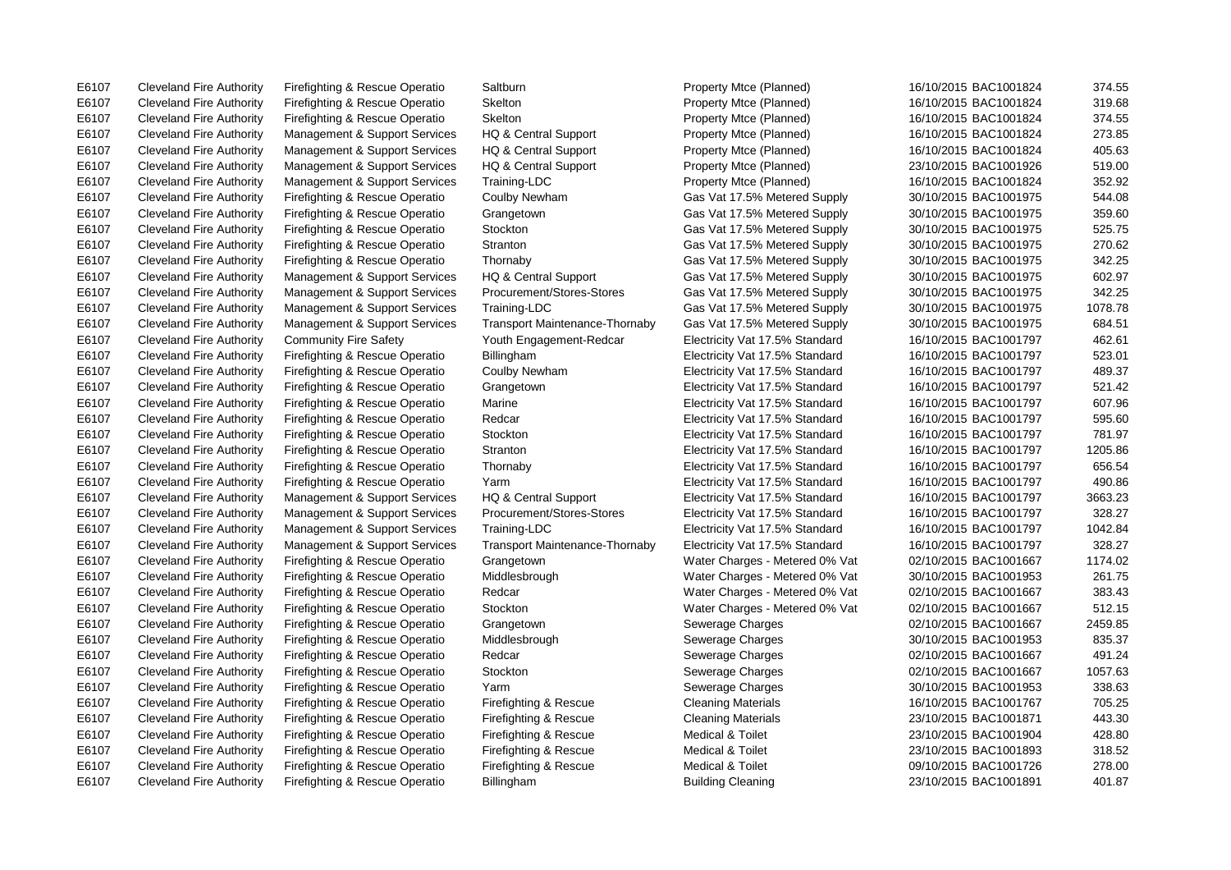E6107 Cleveland Fire Authority Firefighting & Rescue Operatio Saltburn Property Mtce (Planned) 16/10/2015 BAC1001824 374.55

E6107 Cleveland Fire Authority Firefighting & Rescue Operatio Skelton Property Mtce (Planned) 16/10/2015 BAC1001824 319.68 E6107 Cleveland Fire Authority Firefighting & Rescue Operatio Skelton Property Mtce (Planned) 16/10/2015 BAC1001824 374.55 E6107 Cleveland Fire Authority Management & Support Services HQ & Central Support Property Mtce (Planned) 16/10/2015 BAC1001824 273.85 E6107 Cleveland Fire Authority Management & Support Services HQ & Central Support Property Mtce (Planned) 16/10/2015 BAC1001824 405.63 E6107 Cleveland Fire Authority Management & Support Services HQ & Central Support Property Mtce (Planned) 23/10/2015 BAC1001926 519.00 E6107 Cleveland Fire Authority Management & Support Services Training-LDC Property Mtce (Planned) 16/10/2015 BAC1001824 352.92 E6107 Cleveland Fire Authority Firefighting & Rescue Operatio Coulby Newham Gas Vat 17.5% Metered Supply 30/10/2015 BAC1001975 544.08 E6107 Cleveland Fire Authority Firefighting & Rescue Operatio Grangetown Gas Vat 17.5% Metered Supply 30/10/2015 BAC1001975 359.60 E6107 Cleveland Fire Authority Firefighting & Rescue Operatio Stockton Gas Vat 17.5% Metered Supply 30/10/2015 BAC1001975 525.75 E6107 Cleveland Fire Authority Firefighting & Rescue Operatio Stranton Gas Vat 17.5% Metered Supply 30/10/2015 BAC1001975 270.62 E6107 Cleveland Fire Authority Firefighting & Rescue Operatio Thornaby Gas Vat 17.5% Metered Supply 30/10/2015 BAC1001975 342.25 E6107 Cleveland Fire Authority Management & Support Services HQ & Central Support Gas Vat 17.5% Metered Supply 30/10/2015 BAC1001975 602.97 E6107 Cleveland Fire Authority Management & Support Services Procurement/Stores-Stores Gas Vat 17.5% Metered Supply 30/10/2015 BAC1001975 342.25 E6107 Cleveland Fire Authority Management & Support Services Training-LDC Gas Vat 17.5% Metered Supply 30/10/2015 BAC1001975 1078.78 E6107 Cleveland Fire Authority Management & Support Services Transport Maintenance-Thornaby Gas Vat 17.5% Metered Supply 30/10/2015 BAC1001975 684.51 E6107 Cleveland Fire Authority Community Fire Safety Youth Engagement-Redcar Electricity Vat 17.5% Standard 16/10/2015 BAC1001797 462.61 E6107 Cleveland Fire Authority Firefighting & Rescue Operatio Billingham Electricity Vat 17.5% Standard 16/10/2015 BAC1001797 523.01 E6107 Cleveland Fire Authority Firefighting & Rescue Operatio Coulby Newham Electricity Vat 17.5% Standard 16/10/2015 BAC1001797 489.37 E6107 Cleveland Fire Authority Firefighting & Rescue Operatio Grangetown Electricity Vat 17.5% Standard 16/10/2015 BAC1001797 521.42 E6107 Cleveland Fire Authority Firefighting & Rescue Operatio Marine Electricity Vat 17.5% Standard 16/10/2015 BAC1001797 607.96 E6107 Cleveland Fire Authority Firefighting & Rescue Operatio Redcar Electricity Vat 17.5% Standard 16/10/2015 BAC1001797 595.60 E6107 Cleveland Fire Authority Firefighting & Rescue Operatio Stockton Electricity Vat 17.5% Standard 16/10/2015 BAC1001797 781.97 E6107 Cleveland Fire Authority Firefighting & Rescue Operatio Stranton Electricity Vat 17.5% Standard 16/10/2015 BAC1001797 1205.86 E6107 Cleveland Fire Authority Firefighting & Rescue Operatio Thornaby Electricity Vat 17.5% Standard 16/10/2015 BAC1001797 656.54 E6107 Cleveland Fire Authority Firefighting & Rescue Operatio Yarm Electricity Vat 17.5% Standard 16/10/2015 BAC1001797 490.86 E6107 Cleveland Fire Authority Management & Support Services HQ & Central Support Electricity Vat 17.5% Standard 16/10/2015 BAC1001797 3663.23 E6107 Cleveland Fire Authority Management & Support Services Procurement/Stores-Stores Electricity Vat 17.5% Standard 16/10/2015 BAC1001797 328.27 E6107 Cleveland Fire Authority Management & Support Services Training-LDC Electricity Vat 17.5% Standard 16/10/2015 BAC1001797 1042.84 E6107 Cleveland Fire Authority Management & Support Services Transport Maintenance-Thornaby Electricity Vat 17.5% Standard 16/10/2015 BAC1001797 328.27 E6107 Cleveland Fire Authority Firefighting & Rescue Operatio Grangetown Water Charges - Metered 0% Vat 02/10/2015 BAC1001667 1174.02 E6107 Cleveland Fire Authority Firefighting & Rescue Operatio Middlesbrough Water Charges - Metered 0% Vat 30/10/2015 BAC1001953 261.75 E6107 Cleveland Fire Authority Firefighting & Rescue Operatio Redcar Water Charges - Metered 0% Vat 02/10/2015 BAC1001667 383.43 E6107 Cleveland Fire Authority Firefighting & Rescue Operatio Stockton Water Charges - Metered 0% Vat 02/10/2015 BAC1001667 512.15 E6107 Cleveland Fire Authority Firefighting & Rescue Operatio Grangetown Sewerage Charges 02/10/2015 BAC1001667 2459.85 E6107 Cleveland Fire Authority Firefighting & Rescue Operatio Middlesbrough Sewerage Charges 30/10/2015 BAC1001953 835.37 E6107 Cleveland Fire Authority Firefighting & Rescue Operatio Redcar Sewerage Charges Redcare Charges 02/10/2015 BAC1001667 491.24 E6107 Cleveland Fire Authority Firefighting & Rescue Operatio Stockton Sewerage Charges 02/10/2015 BAC1001667 1057.63 E6107 Cleveland Fire Authority Firefighting & Rescue Operatio Yarm Sewerage Charges 30/10/2015 BAC1001953 338.63 E6107 Cleveland Fire Authority Firefighting & Rescue Operatio Firefighting & Rescue Cleaning Materials 16/10/2015 BAC1001767 705.25 E6107 Cleveland Fire Authority Firefighting & Rescue Operatio Firefighting & Rescue Cleaning Materials 23/10/2015 BAC1001871 443.30 E6107 Cleveland Fire Authority Firefighting & Rescue Operatio Firefighting & Rescue Medical & Toilet 23/10/2015 BAC1001904 428.80 E6107 Cleveland Fire Authority Firefighting & Rescue Operatio Firefighting & Rescue Medical & Toilet 23/10/2015 BAC1001893 318.52 E6107 Cleveland Fire Authority Firefighting & Rescue Operatio Firefighting & Rescue Medical & Toilet 09/10/2015 BAC1001726 278.00 E6107 Cleveland Fire Authority Firefighting & Rescue Operatio Billingham Building Cleaning 23/10/2015 BAC1001891 401.87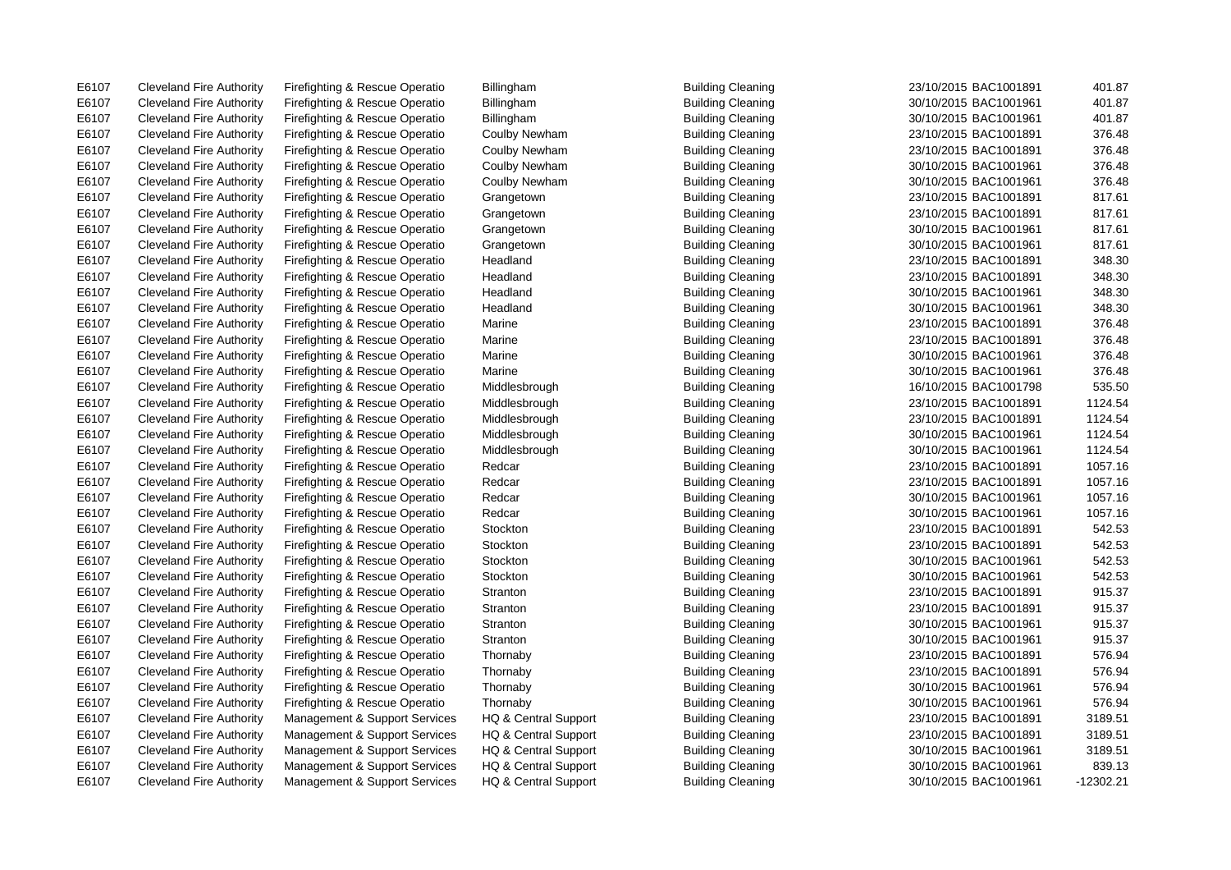E6107 Cleveland Fire Authority Firefighting & Rescue Operatio Billingham Building Cleaning 23/10/2015 BAC1001891 401.87

E6107 Cleveland Fire Authority Firefighting & Rescue Operatio Billingham Building Cleaning Sulding Cleaning 30/10/2015 BAC1001961 401.87 E6107 Cleveland Fire Authority Firefighting & Rescue Operatio Billingham Building Cleaning 30/10/2015 BAC1001961 401.87 E6107 Cleveland Fire Authority Firefighting & Rescue Operatio Coulby Newham Building Cleaning 23/10/2015 BAC1001891 376.48 E6107 Cleveland Fire Authority Firefighting & Rescue Operatio Coulby Newham Building Cleaning 23/10/2015 BAC1001891 376.48 E6107 Cleveland Fire Authority Firefighting & Rescue Operatio Coulby Newham Building Cleaning 30/10/2015 BAC1001961 376.48 E6107 Cleveland Fire Authority Firefighting & Rescue Operatio Coulby Newham Building Cleaning 30/10/2015 BAC1001961 376.48 E6107 Cleveland Fire Authority Firefighting & Rescue Operatio Grangetown Building Cleaning 23/10/2015 BAC1001891 817.61 E6107 Cleveland Fire Authority Firefighting & Rescue Operatio Grangetown Building Cleaning 23/10/2015 BAC1001891 817.61 E6107 Cleveland Fire Authority Firefighting & Rescue Operatio Grangetown Building Cleaning 30/10/2015 BAC1001961 817.61 E6107 Cleveland Fire Authority Firefighting & Rescue Operatio Grangetown Building Cleaning 30/10/2015 BAC1001961 817.61 E6107 Cleveland Fire Authority Firefighting & Rescue Operatio Headland Building Cleaning 23/10/2015 BAC1001891 348.30 E6107 Cleveland Fire Authority Firefighting & Rescue Operatio Headland Building Cleaning 23/10/2015 BAC1001891 348.30 E6107 Cleveland Fire Authority Firefighting & Rescue Operatio Headland Building Cleaning Suilding Cleaning 30/10/2015 BAC1001961 348.30 E6107 Cleveland Fire Authority Firefighting & Rescue Operatio Headland Building Cleaning 30/10/2015 BAC1001961 348.30 E6107 Cleveland Fire Authority Firefighting & Rescue Operatio Marine Building Cleaning 23/10/2015 BAC1001891 376.48 E6107 Cleveland Fire Authority Firefighting & Rescue Operatio Marine **Building Cleaning 23/10/2015 BAC1001891** 376.48 E6107 Cleveland Fire Authority Firefighting & Rescue Operatio Marine **Building Cleaning 30**/10/2015 BAC1001961 376.48 E6107 Cleveland Fire Authority Firefighting & Rescue Operatio Marine **Building Cleaning 30/10/2015 BAC1001961** 376.48 E6107 Cleveland Fire Authority Firefighting & Rescue Operatio Middlesbrough Building Cleaning 2008 16/10/2015 BAC1001798 535.50 E6107 Cleveland Fire Authority Firefighting & Rescue Operatio Middlesbrough Building Cleaning 23/10/2015 BAC1001891 1124.54 E6107 Cleveland Fire Authority Firefighting & Rescue Operatio Middlesbrough Building Cleaning 23/10/2015 BAC1001891 1124.54 E6107 Cleveland Fire Authority Firefighting & Rescue Operatio Middlesbrough Building Cleaning 30/10/2015 BAC1001961 1124.54 E6107 Cleveland Fire Authority Firefighting & Rescue Operatio Middlesbrough Building Cleaning 30/10/2015 BAC1001961 1124.54 E6107 Cleveland Fire Authority Firefighting & Rescue Operatio Redcar Building Cleaning 23/10/2015 BAC1001891 1057.16 E6107 Cleveland Fire Authority Firefighting & Rescue Operatio Redcar Building Cleaning 23/10/2015 BAC1001891 1057.16 E6107 Cleveland Fire Authority Firefighting & Rescue Operatio Redcar Building Cleaning Building Cleaning 30/10/2015 BAC1001961 1057.16 E6107 Cleveland Fire Authority Firefighting & Rescue Operatio Redcar Building Cleaning Building Cleaning 30/10/2015 BAC1001961 1057.16 E6107 Cleveland Fire Authority Firefighting & Rescue Operatio Stockton Building Cleaning 23/10/2015 BAC1001891 542.53 E6107 Cleveland Fire Authority Firefighting & Rescue Operatio Stockton Building Cleaning 23/10/2015 BAC1001891 542.53 E6107 Cleveland Fire Authority Firefighting & Rescue Operatio Stockton Building Cleaning 30/10/2015 BAC1001961 542.53 E6107 Cleveland Fire Authority Firefighting & Rescue Operatio Stockton Building Cleaning 30/10/2015 BAC1001961 542.53 E6107 Cleveland Fire Authority Firefighting & Rescue Operatio Stranton Building Cleaning 23/10/2015 BAC1001891 915.37 E6107 Cleveland Fire Authority Firefighting & Rescue Operatio Stranton Building Cleaning 23/10/2015 BAC1001891 915.37 E6107 Cleveland Fire Authority Firefighting & Rescue Operatio Stranton Stranton Building Cleaning 30/10/2015 BAC1001961 915.37 E6107 Cleveland Fire Authority Firefighting & Rescue Operatio Stranton Stranton Building Cleaning 30/10/2015 BAC1001961 915.37 E6107 Cleveland Fire Authority Firefighting & Rescue Operatio Thornaby Building Cleaning 23/10/2015 BAC1001891 576.94 E6107 Cleveland Fire Authority Firefighting & Rescue Operatio Thornaby Building Cleaning 23/10/2015 BAC1001891 576.94 E6107 Cleveland Fire Authority Firefighting & Rescue Operatio Thornaby Building Cleaning 30/10/2015 BAC1001961 576.94 E6107 Cleveland Fire Authority Firefighting & Rescue Operatio Thornaby Building Cleaning 30/10/2015 BAC1001961 576.94 E6107 Cleveland Fire Authority Management & Support Services HQ & Central Support Building Cleaning 23/10/2015 BAC1001891 3189.51 E6107 Cleveland Fire Authority Management & Support Services HQ & Central Support Building Cleaning 23/10/2015 BAC1001891 3189.51 E6107 Cleveland Fire Authority Management & Support Services HQ & Central Support Building Cleaning 30/10/2015 BAC1001961 3189.51 E6107 Cleveland Fire Authority Management & Support Services HQ & Central Support Building Cleaning 30/10/2015 BAC1001961 839.13 E6107 Cleveland Fire Authority Management & Support Services HQ & Central Support Building Cleaning 30/10/2015 BAC1001961 -12302.21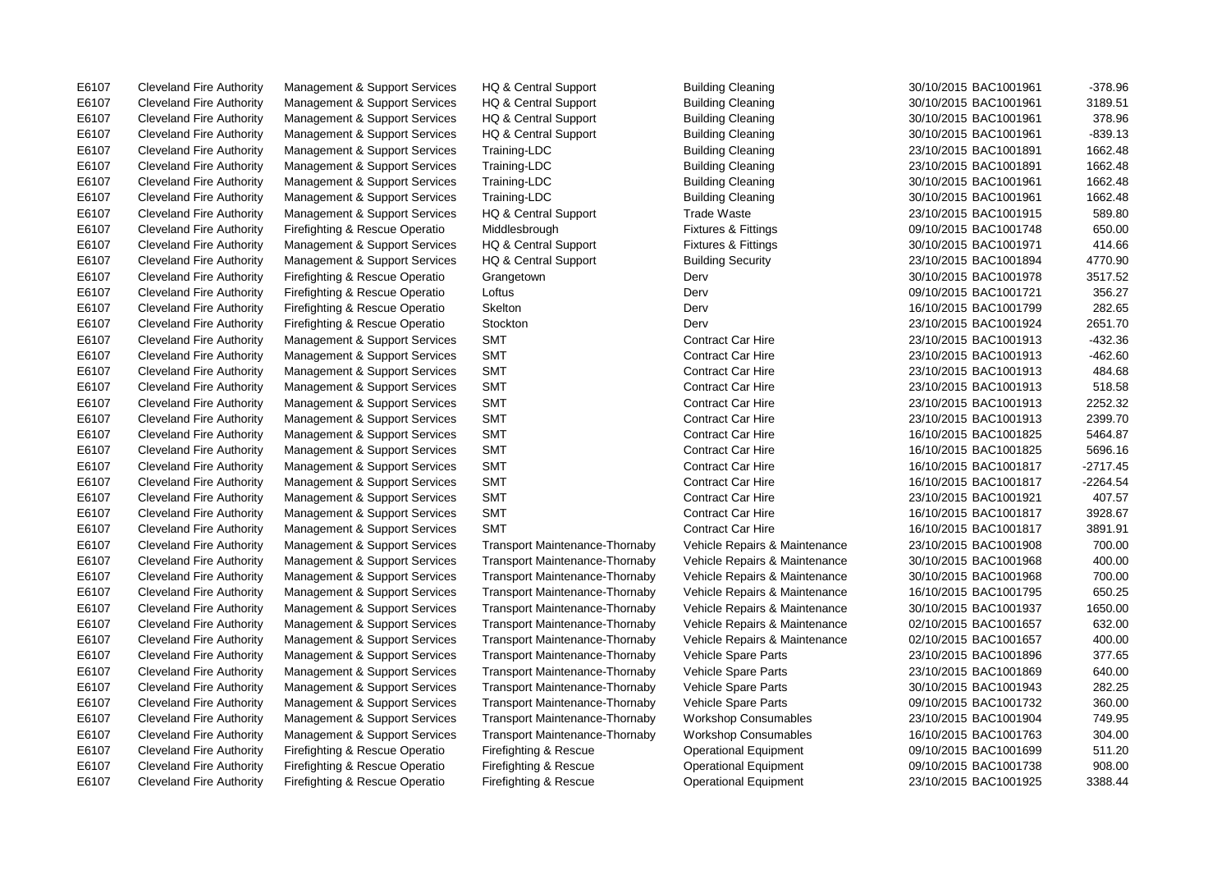E6107 Cleveland Fire Authority Management & Support Services HQ & Central Support Building Cleaning 30/10/2015 BAC1001961 -378.96

E6107 Cleveland Fire Authority Management & Support Services HQ & Central Support Building Cleaning 30/10/2015 BAC1001961 3189.51 E6107 Cleveland Fire Authority Management & Support Services HQ & Central Support Building Cleaning 30/10/2015 BAC1001961 378.96 E6107 Cleveland Fire Authority Management & Support Services HQ & Central Support Building Cleaning 30/10/2015 BAC1001961 -839.13 E6107 Cleveland Fire Authority Management & Support Services Training-LDC Building Cleaning 23/10/2015 BAC1001891 1662.48 E6107 Cleveland Fire Authority Management & Support Services Training-LDC Building Cleaning 23/10/2015 BAC1001891 1662.48 E6107 Cleveland Fire Authority Management & Support Services Training-LDC Building Cleaning Sullding Cleaning 30/10/2015 BAC1001961 1662.48 E6107 Cleveland Fire Authority Management & Support Services Training-LDC Building Cleaning Sullding Cleaning 30/10/2015 BAC1001961 1662.48 E6107 Cleveland Fire Authority Management & Support Services HQ & Central Support Trade Waste 23/10/2015 BAC1001915 589.80 E6107 Cleveland Fire Authority Firefighting & Rescue Operatio Middlesbrough Fixtures & Fittings 660.00 Cleveland Fire Authority Firefighting & Rescue Operatio Middlesbrough Fixtures & Fittings 660.00 E6107 Cleveland Fire Authority Management & Support Services HQ & Central Support Fixtures & Fittings 30/10/2015 BAC1001971 414.66 E6107 Cleveland Fire Authority Management & Support Services HQ & Central Support Building Security 23/10/2015 BAC1001894 4770.90 E6107 Cleveland Fire Authority Firefighting & Rescue Operatio Grangetown Derv Derv 30/10/2015 BAC1001978 3517.52 E6107 Cleveland Fire Authority Firefighting & Rescue Operatio Loftus Derv 09/10/2015 BAC1001721 356.27 E6107 Cleveland Fire Authority Firefighting & Rescue Operatio Skelton Derv 16/10/2015 BAC1001799 282.65 E6107 Cleveland Fire Authority Firefighting & Rescue Operatio Stockton Derv 23/10/2015 BAC1001924 2651.70 E6107 Cleveland Fire Authority Management & Support Services SMT Contract Car Hire 23/10/2015 BAC1001913 -432.36 E6107 Cleveland Fire Authority Management & Support Services SMT Contract Car Hire 23/10/2015 BAC1001913 -462.60 E6107 Cleveland Fire Authority Management & Support Services SMT Contract Car Hire 23/10/2015 BAC1001913 484.68 E6107 Cleveland Fire Authority Management & Support Services SMT Contract Car Hire 23/10/2015 BAC1001913 518.58 E6107 Cleveland Fire Authority Management & Support Services SMT Contract Car Hire 23/10/2015 BAC1001913 2252.32 E6107 Cleveland Fire Authority Management & Support Services SMT Contract Car Hire 23/10/2015 BAC1001913 2399.70 E6107 Cleveland Fire Authority Management & Support Services SMT Contract Car Hire 16/10/2015 BAC1001825 5464.87 E6107 Cleveland Fire Authority Management & Support Services SMT Contract Car Hire 16/10/2015 BAC1001825 5696.16 E6107 Cleveland Fire Authority Management & Support Services SMT Contract Car Hire 16/10/2015 BAC1001817 -2717.45 E6107 Cleveland Fire Authority Management & Support Services SMT Contract Car Hire 16/10/2015 BAC1001817 -2264.54 E6107 Cleveland Fire Authority Management & Support Services SMT Contract Car Hire 23/10/2015 BAC1001921 407.57 E6107 Cleveland Fire Authority Management & Support Services SMT Contract Car Hire 16/10/2015 BAC1001817 3928.67 E6107 Cleveland Fire Authority Management & Support Services SMT Contract Car Hire 16/10/2015 BAC1001817 3891.91 E6107 Cleveland Fire Authority Management & Support Services Transport Maintenance-Thornaby Vehicle Repairs & Maintenance 23/10/2015 BAC1001908 700.00 E6107 Cleveland Fire Authority Management & Support Services Transport Maintenance-Thornaby Vehicle Repairs & Maintenance 30/10/2015 BAC1001968 400.00 E6107 Cleveland Fire Authority Management & Support Services Transport Maintenance-Thornaby Vehicle Repairs & Maintenance 30/10/2015 BAC1001968 700.00 E6107 Cleveland Fire Authority Management & Support Services Transport Maintenance-Thornaby Vehicle Repairs & Maintenance 16/10/2015 BAC1001795 650.25 E6107 Cleveland Fire Authority Management & Support Services Transport Maintenance-Thornaby Vehicle Repairs & Maintenance 30/10/2015 BAC1001937 1650.00 E6107 Cleveland Fire Authority Management & Support Services Transport Maintenance-Thornaby Vehicle Repairs & Maintenance 02/10/2015 BAC1001657 632.00 E6107 Cleveland Fire Authority Management & Support Services Transport Maintenance-Thornaby Vehicle Repairs & Maintenance 02/10/2015 BAC1001657 400.00 E6107 Cleveland Fire Authority Management & Support Services Transport Maintenance-Thornaby Vehicle Spare Parts 23/10/2015 BAC1001896 377.65 E6107 Cleveland Fire Authority Management & Support Services Transport Maintenance-Thornaby Vehicle Spare Parts 23/10/2015 BAC1001869 640.00 E6107 Cleveland Fire Authority Management & Support Services Transport Maintenance-Thornaby Vehicle Spare Parts 30/10/2015 BAC1001943 282.25 E6107 Cleveland Fire Authority Management & Support Services Transport Maintenance-Thornaby Vehicle Spare Parts 09/10/2015 BAC1001732 360.00 E6107 Cleveland Fire Authority Management & Support Services Transport Maintenance-Thornaby Workshop Consumables 23/10/2015 BAC1001904 749.95 E6107 Cleveland Fire Authority Management & Support Services Transport Maintenance-Thornaby Workshop Consumables 16/10/2015 BAC1001763 304.00 E6107 Cleveland Fire Authority Firefighting & Rescue Operatio Firefighting & Rescue Operational Equipment 09/10/2015 BAC1001699 511.20 E6107 Cleveland Fire Authority Firefighting & Rescue Operatio Firefighting & Rescue Operational Equipment 09/10/2015 BAC1001738 908.00 E6107 Cleveland Fire Authority Firefighting & Rescue Operatio Firefighting & Rescue Operational Equipment 23/10/2015 BAC1001925 3388.44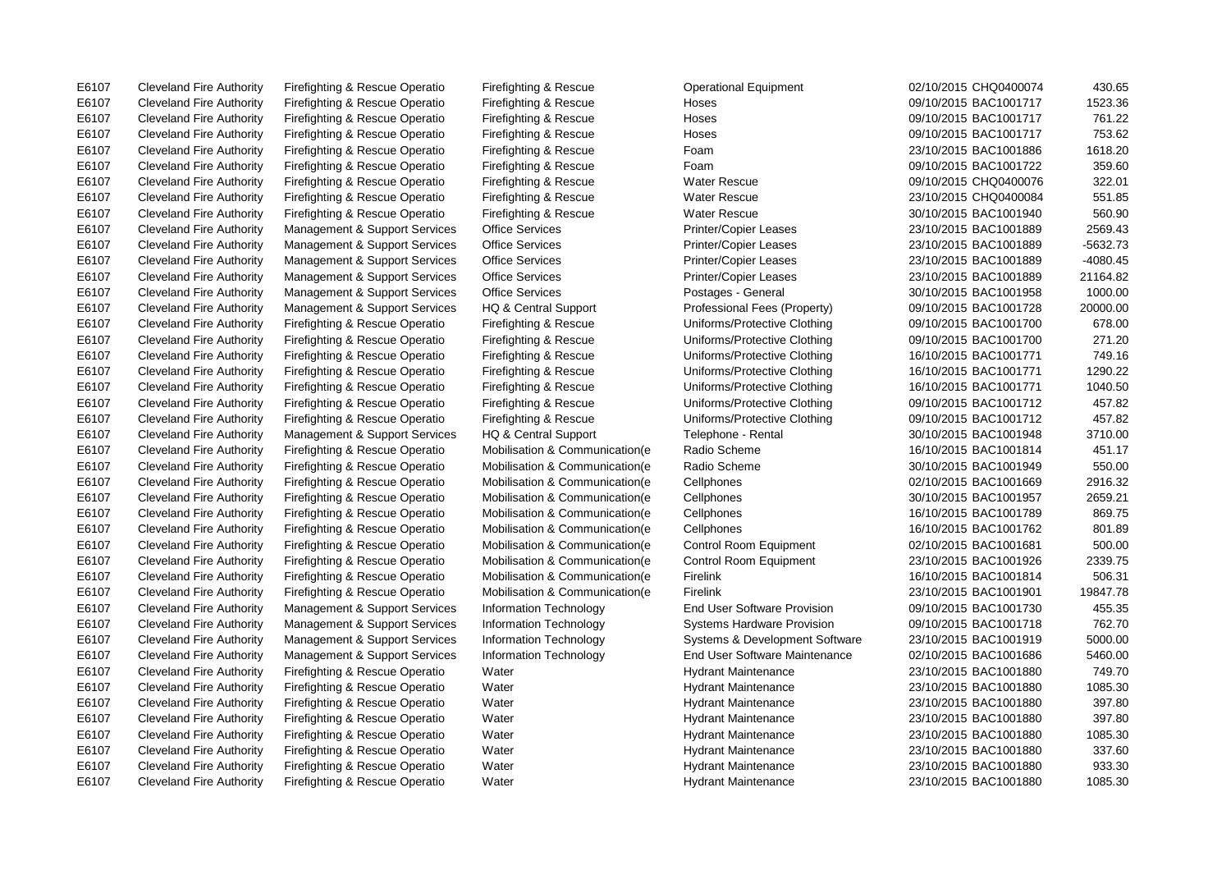E6107 Cleveland Fire Authority Firefighting & Rescue Operatio Firefighting & Rescue Operational Equipment 02/10/2015 CHQ0400074 430.65

E6107 Cleveland Fire Authority Firefighting & Rescue Operatio Firefighting & Rescue Hoses 09/10/2015 BAC1001717 1523.36 E6107 Cleveland Fire Authority Firefighting & Rescue Operatio Firefighting & Rescue Hoses 09/10/2015 BAC1001717 761.22 E6107 Cleveland Fire Authority Firefighting & Rescue Operatio Firefighting & Rescue Hoses 09/10/2015 BAC1001717 753.62 E6107 Cleveland Fire Authority Firefighting & Rescue Operatio Firefighting & Rescue Foam 23/10/2015 BAC1001886 1618.20 E6107 Cleveland Fire Authority Firefighting & Rescue Operatio Firefighting & Rescue Foam 09/10/2015 BAC1001722 359.60 E6107 Cleveland Fire Authority Firefighting & Rescue Operatio Firefighting & Rescue Water Rescue 09/10/2015 CHQ0400076 322.01 E6107 Cleveland Fire Authority Firefighting & Rescue Operatio Firefighting & Rescue Water Rescue 23/10/2015 CHQ0400084 551.85 E6107 Cleveland Fire Authority Firefighting & Rescue Operatio Firefighting & Rescue Water Rescue 30/10/2015 BAC1001940 560.90 E6107 Cleveland Fire Authority Management & Support Services Office Services Printer/Copier Leases 23/10/2015 BAC1001889 2569.43 E6107 Cleveland Fire Authority Management & Support Services Office Services Printer/Copier Leases 23/10/2015 BAC1001889 -5632.73 E6107 Cleveland Fire Authority Management & Support Services Office Services Printer/Copier Leases 23/10/2015 BAC1001889 -4080.45 E6107 Cleveland Fire Authority Management & Support Services Office Services Printer/Copier Leases 23/10/2015 BAC1001889 21164.82 E6107 Cleveland Fire Authority Management & Support Services Office Services Postages - General 30/10/2015 BAC1001958 1000.00 E6107 Cleveland Fire Authority Management & Support Services HQ & Central Support Professional Fees (Property) 09/10/2015 BAC1001728 20000.00 E6107 Cleveland Fire Authority Firefighting & Rescue Operatio Firefighting & Rescue Uniforms/Protective Clothing 09/10/2015 BAC1001700 678.00 E6107 Cleveland Fire Authority Firefighting & Rescue Operatio Firefighting & Rescue Uniforms/Protective Clothing 09/10/2015 BAC1001700 271.20 E6107 Cleveland Fire Authority Firefighting & Rescue Operatio Firefighting & Rescue Uniforms/Protective Clothing 16/10/2015 BAC1001771 749.16 E6107 Cleveland Fire Authority Firefighting & Rescue Operatio Firefighting & Rescue Uniforms/Protective Clothing 16/10/2015 BAC1001771 1290.22 E6107 Cleveland Fire Authority Firefighting & Rescue Operatio Firefighting & Rescue Uniforms/Protective Clothing 16/10/2015 BAC1001771 1040.50 E6107 Cleveland Fire Authority Firefighting & Rescue Operatio Firefighting & Rescue Uniforms/Protective Clothing 09/10/2015 BAC1001712 457.82 E6107 Cleveland Fire Authority Firefighting & Rescue Operatio Firefighting & Rescue Uniforms/Protective Clothing 09/10/2015 BAC1001712 457.82 E6107 Cleveland Fire Authority Management & Support Services HQ & Central Support Telephone - Rental 30/10/2015 BAC1001948 3710.00 E6107 Cleveland Fire Authority Firefighting & Rescue Operatio Mobilisation & Communication(e Radio Scheme 16/10/2015 BAC1001814 451.17 E6107 Cleveland Fire Authority Firefighting & Rescue Operatio Mobilisation & Communication(e Radio Scheme 30/10/2015 BAC1001949 550.00 E6107 Cleveland Fire Authority Firefighting & Rescue Operatio Mobilisation & Communication(e Cellphones 02/10/2015 BAC1001669 2916.32 E6107 Cleveland Fire Authority Firefighting & Rescue Operatio Mobilisation & Communication(e Cellphones 30/10/2015 BAC1001957 2659.21 E6107 Cleveland Fire Authority Firefighting & Rescue Operatio Mobilisation & Communication(e Cellphones 16/10/2015 BAC1001789 869.75 E6107 Cleveland Fire Authority Firefighting & Rescue Operatio Mobilisation & Communication(e Cellphones 16/10/2015 BAC1001762 801.89 E6107 Cleveland Fire Authority Firefighting & Rescue Operatio Mobilisation & Communication(e Control Room Equipment 02/10/2015 BAC1001681 500.00 E6107 Cleveland Fire Authority Firefighting & Rescue Operatio Mobilisation & Communication(e Control Room Equipment 23/10/2015 BAC1001926 2339.75 E6107 Cleveland Fire Authority Firefighting & Rescue Operatio Mobilisation & Communication(e Firelink 16/10/2015 BAC1001814 506.31 E6107 Cleveland Fire Authority Firefighting & Rescue Operatio Mobilisation & Communication(e Firelink 23/10/2015 BAC1001901 19847.78 E6107 Cleveland Fire Authority Management & Support Services Information Technology End User Software Provision 09/10/2015 BAC1001730 455.35 E6107 Cleveland Fire Authority Management & Support Services Information Technology Systems Hardware Provision 09/10/2015 BAC1001718 762.70 E6107 Cleveland Fire Authority Management & Support Services Information Technology Systems & Development Software 23/10/2015 BAC1001919 5000.00 E6107 Cleveland Fire Authority Management & Support Services Information Technology End User Software Maintenance 02/10/2015 BAC1001686 5460.00 E6107 Cleveland Fire Authority Firefighting & Rescue Operatio Water Hydrant Maintenance 23/10/2015 BAC1001880 749.70 E6107 Cleveland Fire Authority Firefighting & Rescue Operatio Water Hydrant Maintenance 23/10/2015 BAC1001880 1085.30 E6107 Cleveland Fire Authority Firefighting & Rescue Operatio Water Hydrant Maintenance 23/10/2015 BAC1001880 397.80 E6107 Cleveland Fire Authority Firefighting & Rescue Operatio Water Hydrant Maintenance 23/10/2015 BAC1001880 397.80 E6107 Cleveland Fire Authority Firefighting & Rescue Operatio Water Hydrant Maintenance 23/10/2015 BAC1001880 1085.30 E6107 Cleveland Fire Authority Firefighting & Rescue Operatio Water Hydrant Maintenance 23/10/2015 BAC1001880 337.60 E6107 Cleveland Fire Authority Firefighting & Rescue Operatio Water Hydrant Maintenance 23/10/2015 BAC1001880 933.30 E6107 Cleveland Fire Authority Firefighting & Rescue Operatio Water Hydrant Maintenance 23/10/2015 BAC1001880 1085.30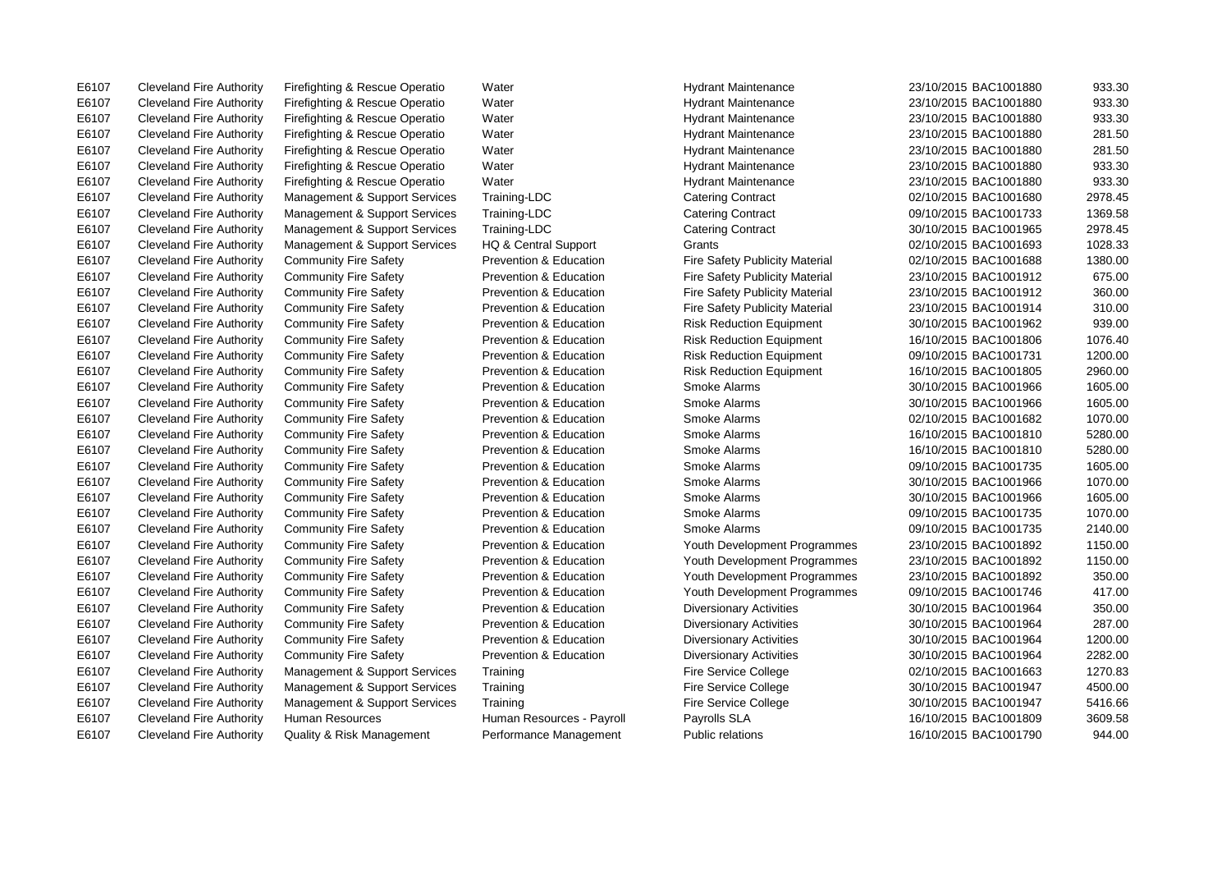E6107 Cleveland Fire Authority Firefighting & Rescue Operatio Water Hydrant Maintenance 23/10/2015 BAC1001880 933.30

E6107 Cleveland Fire Authority Firefighting & Rescue Operatio Water Hydrant Maintenance 23/10/2015 BAC1001880 933.30 E6107 Cleveland Fire Authority Firefighting & Rescue Operatio Water Hydrant Maintenance 23/10/2015 BAC1001880 933.30 E6107 Cleveland Fire Authority Firefighting & Rescue Operatio Water Hydrant Maintenance 23/10/2015 BAC1001880 281.50 E6107 Cleveland Fire Authority Firefighting & Rescue Operatio Water Hydrant Maintenance 23/10/2015 BAC1001880 281.50 E6107 Cleveland Fire Authority Firefighting & Rescue Operatio Water Hydrant Maintenance 23/10/2015 BAC1001880 933.30 E6107 Cleveland Fire Authority Firefighting & Rescue Operatio Water Hydrant Maintenance 23/10/2015 BAC1001880 933.30 E6107 Cleveland Fire Authority Management & Support Services Training-LDC Catering Contract 02/10/2015 BAC1001680 2978.45 E6107 Cleveland Fire Authority Management & Support Services Training-LDC Catering Contract 09/10/2015 BAC1001733 1369.58 E6107 Cleveland Fire Authority Management & Support Services Training-LDC Catering Contract 30/10/2015 BAC1001965 2978.45 E6107 Cleveland Fire Authority Management & Support Services HQ & Central Support Grants 02/10/2015 BAC1001693 1028.33 E6107 Cleveland Fire Authority Community Fire Safety Prevention & Education Fire Safety Publicity Material 02/10/2015 BAC1001688 1380.00 E6107 Cleveland Fire Authority Community Fire Safety Prevention & Education Fire Safety Publicity Material 23/10/2015 BAC1001912 675.00 E6107 Cleveland Fire Authority Community Fire Safety Prevention & Education Fire Safety Publicity Material 23/10/2015 BAC1001912 360.00 E6107 Cleveland Fire Authority Community Fire Safety Prevention & Education Fire Safety Publicity Material 23/10/2015 BAC1001914 310.00 E6107 Cleveland Fire Authority Community Fire Safety Prevention & Education Risk Reduction Equipment 30/10/2015 BAC1001962 939.00 E6107 Cleveland Fire Authority Community Fire Safety Prevention & Education Risk Reduction Equipment 16/10/2015 BAC1001806 1076.40 E6107 Cleveland Fire Authority Community Fire Safety Prevention & Education Risk Reduction Equipment 09/10/2015 BAC1001731 1200.00 E6107 Cleveland Fire Authority Community Fire Safety Prevention & Education Risk Reduction Equipment 16/10/2015 BAC1001805 2960.00 E6107 Cleveland Fire Authority Community Fire Safety Prevention & Education Smoke Alarms 30/10/2015 BAC1001966 1605.00 E6107 Cleveland Fire Authority Community Fire Safety Prevention & Education Smoke Alarms 30/10/2015 BAC1001966 1605.00 E6107 Cleveland Fire Authority Community Fire Safety Prevention & Education Smoke Alarms 02/10/2015 BAC1001682 1070.00 E6107 Cleveland Fire Authority Community Fire Safety Prevention & Education Smoke Alarms 16/10/2015 BAC1001810 5280.00 E6107 Cleveland Fire Authority Community Fire Safety Prevention & Education Smoke Alarms 16/10/2015 BAC1001810 5280.00 E6107 Cleveland Fire Authority Community Fire Safety Prevention & Education Smoke Alarms 09/10/2015 BAC1001735 1605.00 E6107 Cleveland Fire Authority Community Fire Safety Prevention & Education Smoke Alarms 30/10/2015 BAC1001966 1070.00 E6107 Cleveland Fire Authority Community Fire Safety Prevention & Education Smoke Alarms 30/10/2015 BAC1001966 1605.00 E6107 Cleveland Fire Authority Community Fire Safety Prevention & Education Smoke Alarms 09/10/2015 BAC1001735 1070.00 E6107 Cleveland Fire Authority Community Fire Safety Prevention & Education Smoke Alarms 09/10/2015 BAC1001735 2140.00 E6107 Cleveland Fire Authority Community Fire Safety Prevention & Education Youth Development Programmes 23/10/2015 BAC1001892 1150.00 E6107 Cleveland Fire Authority Community Fire Safety Prevention & Education Youth Development Programmes 23/10/2015 BAC1001892 1150.00 E6107 Cleveland Fire Authority Community Fire Safety Prevention & Education Youth Development Programmes 23/10/2015 BAC1001892 350.00 E6107 Cleveland Fire Authority Community Fire Safety Prevention & Education Youth Development Programmes 09/10/2015 BAC1001746 417.00 E6107 Cleveland Fire Authority Community Fire Safety Prevention & Education Diversionary Activities 30/10/2015 BAC1001964 350.00 E6107 Cleveland Fire Authority Community Fire Safety Prevention & Education Diversionary Activities 30/10/2015 BAC1001964 287.00 E6107 Cleveland Fire Authority Community Fire Safety Prevention & Education Diversionary Activities 30/10/2015 BAC1001964 1200.00 E6107 Cleveland Fire Authority Community Fire Safety Prevention & Education Diversionary Activities 30/10/2015 BAC1001964 2282.00 E6107 Cleveland Fire Authority Management & Support Services Training Fire Service College 02/10/2015 BAC1001663 1270.83 E6107 Cleveland Fire Authority Management & Support Services Training Fire Service College 30/10/2015 BAC1001947 4500.00 E6107 Cleveland Fire Authority Management & Support Services Training Fire Service College 30/10/2015 BAC1001947 5416.66 E6107 Cleveland Fire Authority Human Resources Human Resources - Payroll Payrolls SLA 16/10/2015 BAC1001809 3609.58 E6107 Cleveland Fire Authority Quality & Risk Management Performance Management Public relations 16/10/2015 BAC1001790 944.00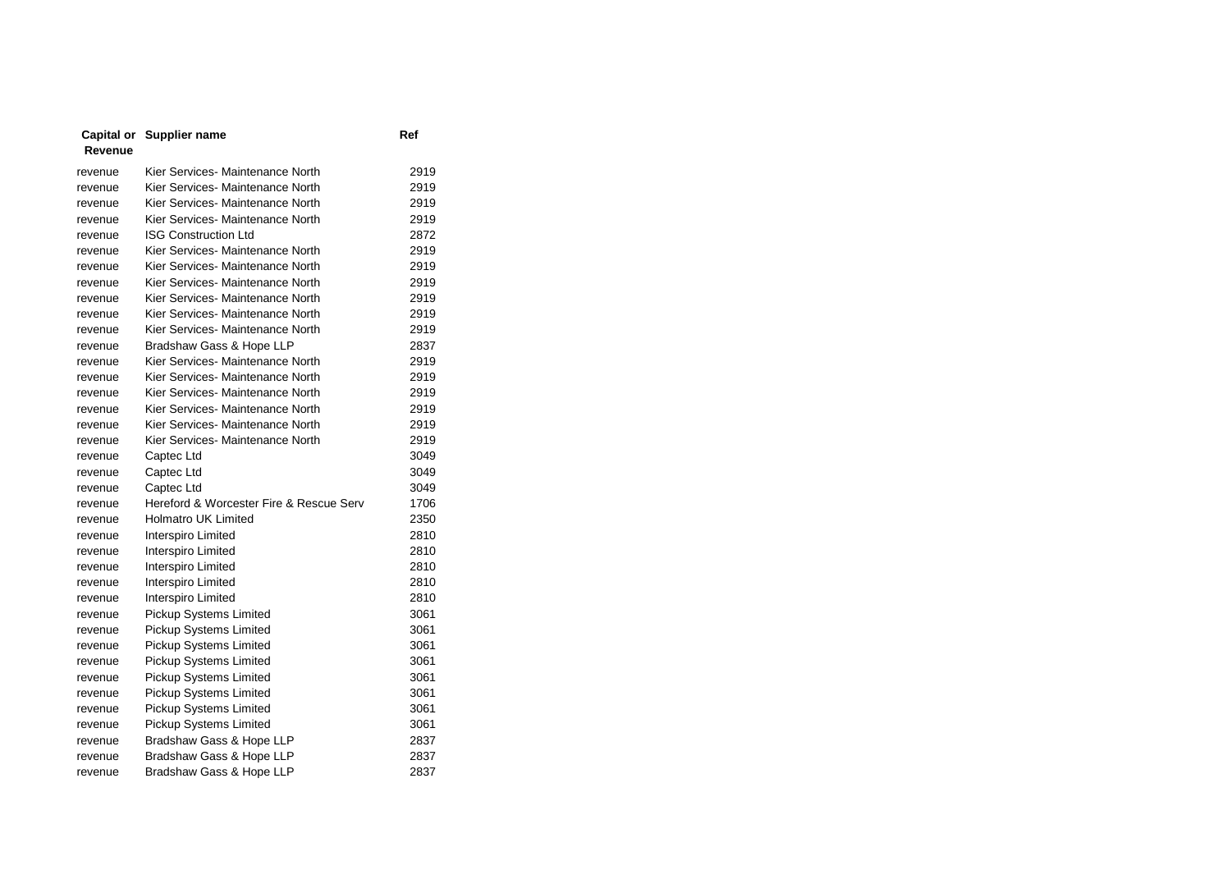|         | Capital or Supplier name | Ref |
|---------|--------------------------|-----|
| Revenue |                          |     |

| revenue | Kier Services- Maintenance North        | 2919 |
|---------|-----------------------------------------|------|
| revenue | Kier Services- Maintenance North        | 2919 |
| revenue | Kier Services- Maintenance North        | 2919 |
| revenue | Kier Services- Maintenance North        | 2919 |
| revenue | <b>ISG Construction Ltd</b>             | 2872 |
| revenue | Kier Services- Maintenance North        | 2919 |
| revenue | Kier Services- Maintenance North        | 2919 |
| revenue | Kier Services- Maintenance North        | 2919 |
| revenue | Kier Services- Maintenance North        | 2919 |
| revenue | Kier Services- Maintenance North        | 2919 |
| revenue | Kier Services- Maintenance North        | 2919 |
| revenue | Bradshaw Gass & Hope LLP                | 2837 |
| revenue | Kier Services- Maintenance North        | 2919 |
| revenue | Kier Services- Maintenance North        | 2919 |
| revenue | Kier Services- Maintenance North        | 2919 |
| revenue | Kier Services- Maintenance North        | 2919 |
| revenue | Kier Services- Maintenance North        | 2919 |
| revenue | Kier Services- Maintenance North        | 2919 |
| revenue | Captec Ltd                              | 3049 |
| revenue | Captec Ltd                              | 3049 |
| revenue | Captec Ltd                              | 3049 |
| revenue | Hereford & Worcester Fire & Rescue Serv | 1706 |
| revenue | Holmatro UK Limited                     | 2350 |
| revenue | Interspiro Limited                      | 2810 |
| revenue | Interspiro Limited                      | 2810 |
| revenue | Interspiro Limited                      | 2810 |
| revenue | Interspiro Limited                      | 2810 |
| revenue | Interspiro Limited                      | 2810 |
| revenue | <b>Pickup Systems Limited</b>           | 3061 |
| revenue | <b>Pickup Systems Limited</b>           | 3061 |
| revenue | Pickup Systems Limited                  | 3061 |
| revenue | Pickup Systems Limited                  | 3061 |
| revenue | Pickup Systems Limited                  | 3061 |
| revenue | Pickup Systems Limited                  | 3061 |
| revenue | Pickup Systems Limited                  | 3061 |
| revenue | Pickup Systems Limited                  | 3061 |
| revenue | Bradshaw Gass & Hope LLP                | 2837 |
| revenue | Bradshaw Gass & Hope LLP                | 2837 |
| revenue | Bradshaw Gass & Hope LLP                | 2837 |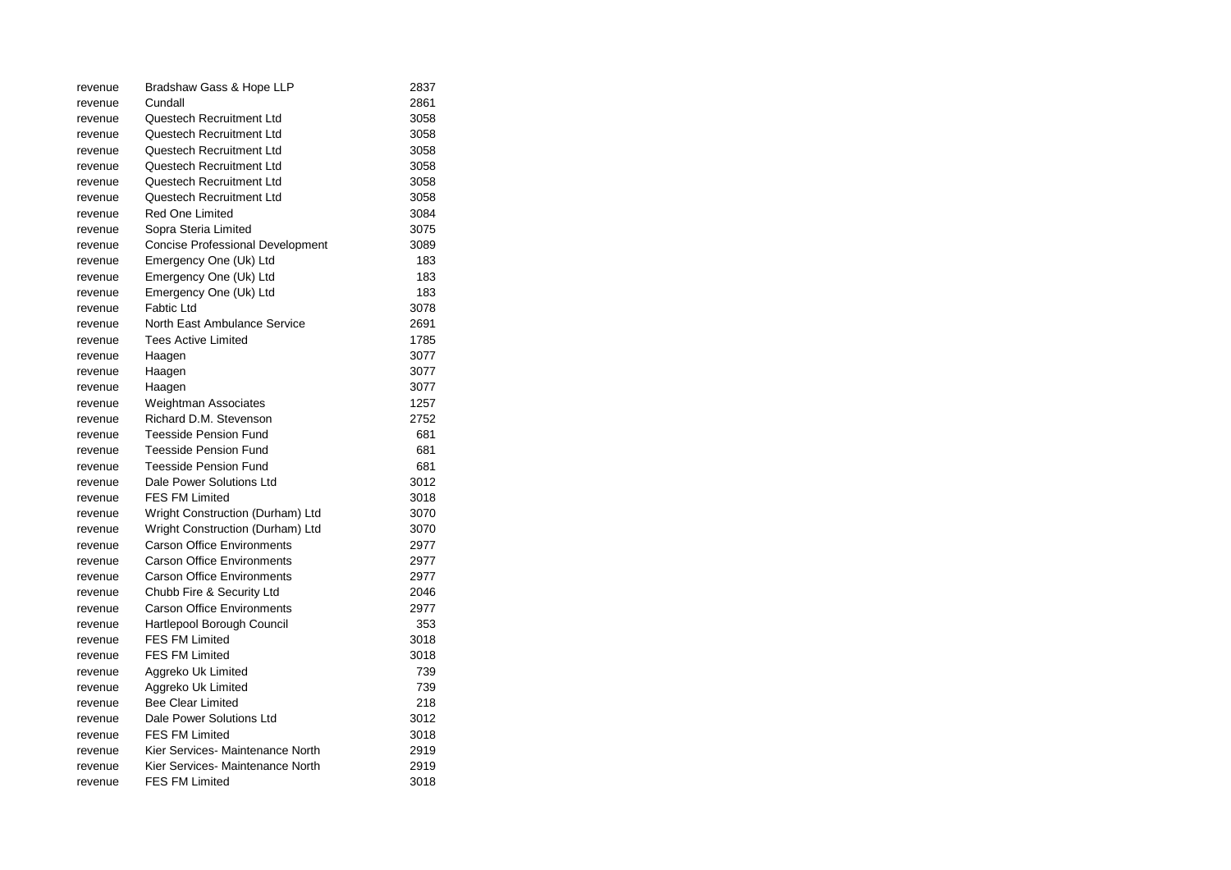| revenue | Bradshaw Gass & Hope LLP                | 2837 |
|---------|-----------------------------------------|------|
| revenue | Cundall                                 | 2861 |
| revenue | Questech Recruitment Ltd                | 3058 |
| revenue | Questech Recruitment Ltd                | 3058 |
| revenue | Questech Recruitment Ltd                | 3058 |
| revenue | Questech Recruitment Ltd                | 3058 |
| revenue | Questech Recruitment Ltd                | 3058 |
| revenue | Questech Recruitment Ltd                | 3058 |
| revenue | <b>Red One Limited</b>                  | 3084 |
| revenue | Sopra Steria Limited                    | 3075 |
| revenue | <b>Concise Professional Development</b> | 3089 |
| revenue | Emergency One (Uk) Ltd                  | 183  |
| revenue | Emergency One (Uk) Ltd                  | 183  |
| revenue | Emergency One (Uk) Ltd                  | 183  |
| revenue | Fabtic Ltd                              | 3078 |
| revenue | North East Ambulance Service            | 2691 |
| revenue | Tees Active Limited                     | 1785 |
| revenue | Haagen                                  | 3077 |
| revenue | Haagen                                  | 3077 |
| revenue | Haagen                                  | 3077 |
| revenue | Weightman Associates                    | 1257 |
| revenue | Richard D.M. Stevenson                  | 2752 |
| revenue | Teesside Pension Fund                   | 681  |
| revenue | <b>Teesside Pension Fund</b>            | 681  |
| revenue | <b>Teesside Pension Fund</b>            | 681  |
| revenue | Dale Power Solutions Ltd                | 3012 |
| revenue | <b>FES FM Limited</b>                   | 3018 |
| revenue | Wright Construction (Durham) Ltd        | 3070 |
| revenue | Wright Construction (Durham) Ltd        | 3070 |
| revenue | <b>Carson Office Environments</b>       | 2977 |
| revenue | <b>Carson Office Environments</b>       | 2977 |
| revenue | <b>Carson Office Environments</b>       | 2977 |
| revenue | Chubb Fire & Security Ltd               | 2046 |
| revenue | Carson Office Environments              | 2977 |
| revenue | Hartlepool Borough Council              | 353  |
| revenue | FES FM Limited                          | 3018 |
| revenue | <b>FES FM Limited</b>                   | 3018 |
| revenue | Aggreko Uk Limited                      | 739  |
| revenue | Aggreko Uk Limited                      | 739  |
| revenue | <b>Bee Clear Limited</b>                | 218  |
| revenue | Dale Power Solutions Ltd                | 3012 |
| revenue | <b>FES FM Limited</b>                   | 3018 |
| revenue | Kier Services- Maintenance North        | 2919 |
| revenue | Kier Services- Maintenance North        | 2919 |
| revenue | <b>FES FM Limited</b>                   | 3018 |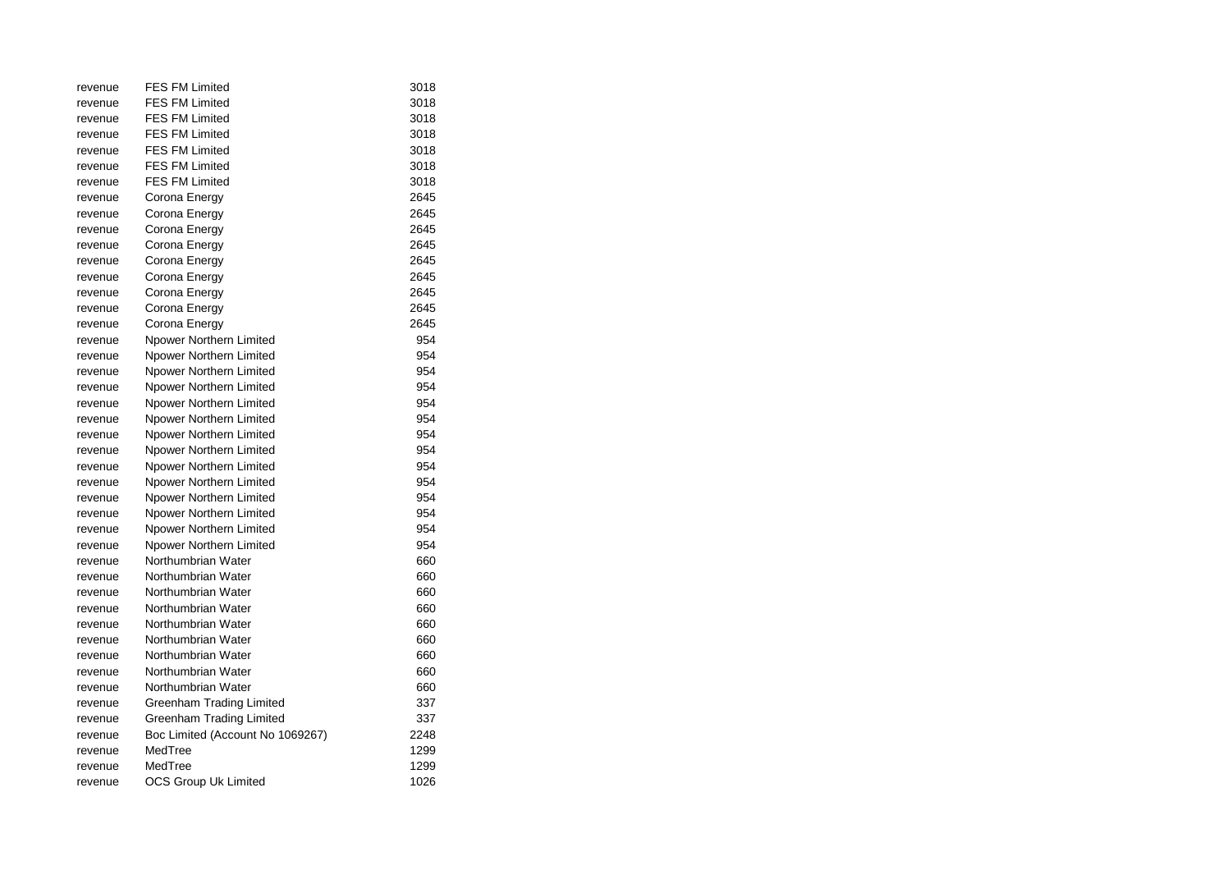| revenue | <b>FES FM Limited</b>            | 3018 |
|---------|----------------------------------|------|
| revenue | <b>FES FM Limited</b>            | 3018 |
| revenue | <b>FES FM Limited</b>            | 3018 |
| revenue | <b>FES FM Limited</b>            | 3018 |
| revenue | <b>FES FM Limited</b>            | 3018 |
| revenue | <b>FES FM Limited</b>            | 3018 |
| revenue | <b>FES FM Limited</b>            | 3018 |
| revenue | Corona Energy                    | 2645 |
| revenue | Corona Energy                    | 2645 |
| revenue | Corona Energy                    | 2645 |
| revenue | Corona Energy                    | 2645 |
| revenue | Corona Energy                    | 2645 |
| revenue | Corona Energy                    | 2645 |
| revenue | Corona Energy                    | 2645 |
| revenue | Corona Energy                    | 2645 |
| revenue | Corona Energy                    | 2645 |
| revenue | Npower Northern Limited          | 954  |
| revenue | Npower Northern Limited          | 954  |
| revenue | Npower Northern Limited          | 954  |
| revenue | Npower Northern Limited          | 954  |
| revenue | Npower Northern Limited          | 954  |
| revenue | Npower Northern Limited          | 954  |
| revenue | Npower Northern Limited          | 954  |
| revenue | Npower Northern Limited          | 954  |
| revenue | Npower Northern Limited          | 954  |
| revenue | Npower Northern Limited          | 954  |
| revenue | Npower Northern Limited          | 954  |
| revenue | Npower Northern Limited          | 954  |
| revenue | Npower Northern Limited          | 954  |
| revenue | Npower Northern Limited          | 954  |
| revenue | Northumbrian Water               | 660  |
| revenue | Northumbrian Water               | 660  |
| revenue | Northumbrian Water               | 660  |
| revenue | Northumbrian Water               | 660  |
| revenue | Northumbrian Water               | 660  |
| revenue | Northumbrian Water               | 660  |
| revenue | Northumbrian Water               | 660  |
| revenue | Northumbrian Water               | 660  |
| revenue | Northumbrian Water               | 660  |
| revenue | Greenham Trading Limited         | 337  |
| revenue | Greenham Trading Limited         | 337  |
| revenue | Boc Limited (Account No 1069267) | 2248 |
| revenue | MedTree                          | 1299 |
| revenue | MedTree                          | 1299 |
| revenue | <b>OCS Group Uk Limited</b>      | 1026 |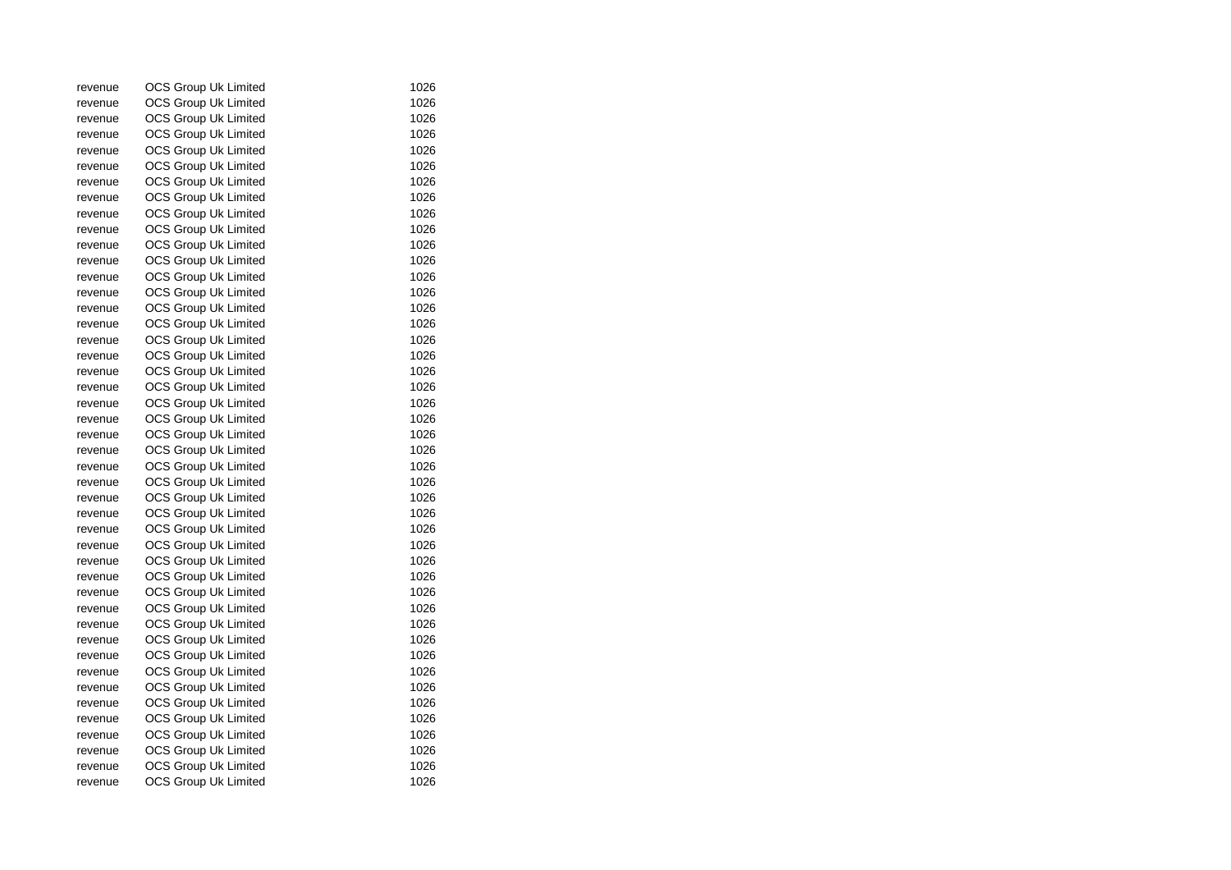| revenue | OCS Group Uk Limited        | 1026 |
|---------|-----------------------------|------|
| revenue | OCS Group Uk Limited        | 1026 |
| revenue | <b>OCS Group Uk Limited</b> | 1026 |
| revenue | <b>OCS Group Uk Limited</b> | 1026 |
| revenue | <b>OCS Group Uk Limited</b> | 1026 |
| revenue | OCS Group Uk Limited        | 1026 |
| revenue | OCS Group Uk Limited        | 1026 |
| revenue | OCS Group Uk Limited        | 1026 |
| revenue | <b>OCS Group Uk Limited</b> | 1026 |
| revenue | <b>OCS Group Uk Limited</b> | 1026 |
| revenue | <b>OCS Group Uk Limited</b> | 1026 |
| revenue | <b>OCS Group Uk Limited</b> | 1026 |
| revenue | <b>OCS Group Uk Limited</b> | 1026 |
| revenue | OCS Group Uk Limited        | 1026 |
| revenue | OCS Group Uk Limited        | 1026 |
| revenue | <b>OCS Group Uk Limited</b> | 1026 |
| revenue | <b>OCS Group Uk Limited</b> | 1026 |
| revenue | <b>OCS Group Uk Limited</b> | 1026 |
| revenue | <b>OCS Group Uk Limited</b> | 1026 |
| revenue | <b>OCS Group Uk Limited</b> | 1026 |
| revenue | OCS Group Uk Limited        | 1026 |
| revenue | <b>OCS Group Uk Limited</b> | 1026 |
| revenue | OCS Group Uk Limited        | 1026 |
| revenue | OCS Group Uk Limited        | 1026 |
| revenue | <b>OCS Group Uk Limited</b> | 1026 |
| revenue | <b>OCS Group Uk Limited</b> | 1026 |
| revenue | <b>OCS Group Uk Limited</b> | 1026 |
| revenue | <b>OCS Group Uk Limited</b> | 1026 |
| revenue | OCS Group Uk Limited        | 1026 |
| revenue | OCS Group Uk Limited        | 1026 |
| revenue | <b>OCS Group Uk Limited</b> | 1026 |
| revenue | <b>OCS Group Uk Limited</b> | 1026 |
| revenue | <b>OCS Group Uk Limited</b> | 1026 |
| revenue | <b>OCS Group Uk Limited</b> | 1026 |
| revenue | <b>OCS Group Uk Limited</b> | 1026 |
| revenue | OCS Group Uk Limited        | 1026 |
| revenue | <b>OCS Group Uk Limited</b> | 1026 |
| revenue | <b>OCS Group Uk Limited</b> | 1026 |
| revenue | OCS Group Uk Limited        | 1026 |
| revenue | <b>OCS Group Uk Limited</b> | 1026 |
| revenue | <b>OCS Group Uk Limited</b> | 1026 |
| revenue | <b>OCS Group Uk Limited</b> | 1026 |
| revenue | <b>OCS Group Uk Limited</b> | 1026 |
| revenue | <b>OCS Group Uk Limited</b> | 1026 |
| revenue | <b>OCS Group Uk Limited</b> | 1026 |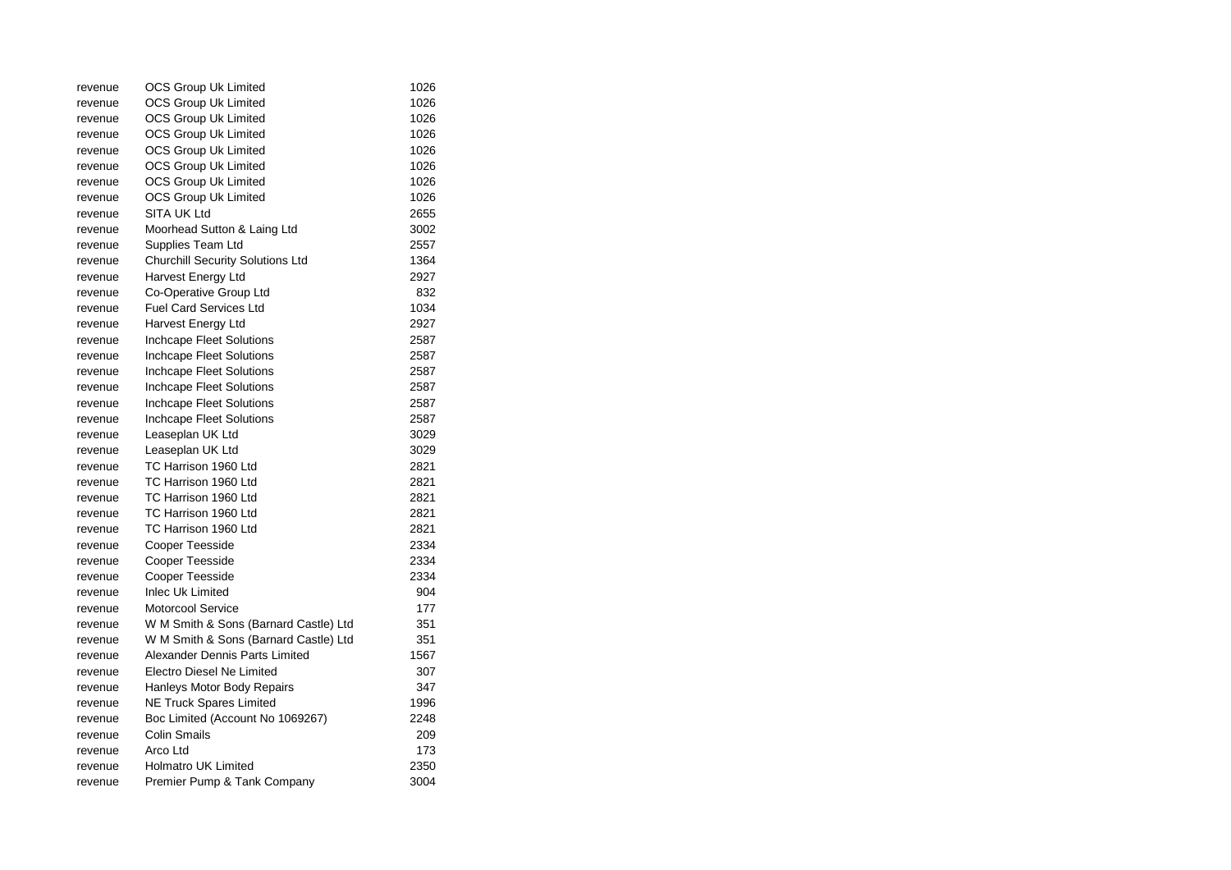| revenue | OCS Group Uk Limited                    | 1026 |
|---------|-----------------------------------------|------|
| revenue | OCS Group Uk Limited                    | 1026 |
| revenue | OCS Group Uk Limited                    | 1026 |
| revenue | <b>OCS Group Uk Limited</b>             | 1026 |
| revenue | <b>OCS Group Uk Limited</b>             | 1026 |
| revenue | OCS Group Uk Limited                    | 1026 |
| revenue | OCS Group Uk Limited                    | 1026 |
| revenue | OCS Group Uk Limited                    | 1026 |
| revenue | SITA UK Ltd                             | 2655 |
| revenue | Moorhead Sutton & Laing Ltd             | 3002 |
| revenue | Supplies Team Ltd                       | 2557 |
| revenue | <b>Churchill Security Solutions Ltd</b> | 1364 |
| revenue | Harvest Energy Ltd                      | 2927 |
| revenue | Co-Operative Group Ltd                  | 832  |
| revenue | <b>Fuel Card Services Ltd</b>           | 1034 |
| revenue | Harvest Energy Ltd                      | 2927 |
| revenue | Inchcape Fleet Solutions                | 2587 |
| revenue | Inchcape Fleet Solutions                | 2587 |
| revenue | Inchcape Fleet Solutions                | 2587 |
| revenue | Inchcape Fleet Solutions                | 2587 |
| revenue | Inchcape Fleet Solutions                | 2587 |
| revenue | Inchcape Fleet Solutions                | 2587 |
| revenue | Leaseplan UK Ltd                        | 3029 |
| revenue | Leaseplan UK Ltd                        | 3029 |
| revenue | TC Harrison 1960 Ltd                    | 2821 |
| revenue | TC Harrison 1960 Ltd                    | 2821 |
| revenue | TC Harrison 1960 Ltd                    | 2821 |
| revenue | TC Harrison 1960 Ltd                    | 2821 |
| revenue | TC Harrison 1960 Ltd                    | 2821 |
| revenue | Cooper Teesside                         | 2334 |
| revenue | Cooper Teesside                         | 2334 |
| revenue | Cooper Teesside                         | 2334 |
| revenue | <b>Inlec Uk Limited</b>                 | 904  |
| revenue | <b>Motorcool Service</b>                | 177  |
| revenue | W M Smith & Sons (Barnard Castle) Ltd   | 351  |
| revenue | W M Smith & Sons (Barnard Castle) Ltd   | 351  |
| revenue | Alexander Dennis Parts Limited          | 1567 |
| revenue | Electro Diesel Ne Limited               | 307  |
| revenue | Hanleys Motor Body Repairs              | 347  |
| revenue | NE Truck Spares Limited                 | 1996 |
| revenue | Boc Limited (Account No 1069267)        | 2248 |
| revenue | Colin Smails                            | 209  |
| revenue | Arco Ltd                                | 173  |
| revenue | <b>Holmatro UK Limited</b>              | 2350 |
| revenue | Premier Pump & Tank Company             | 3004 |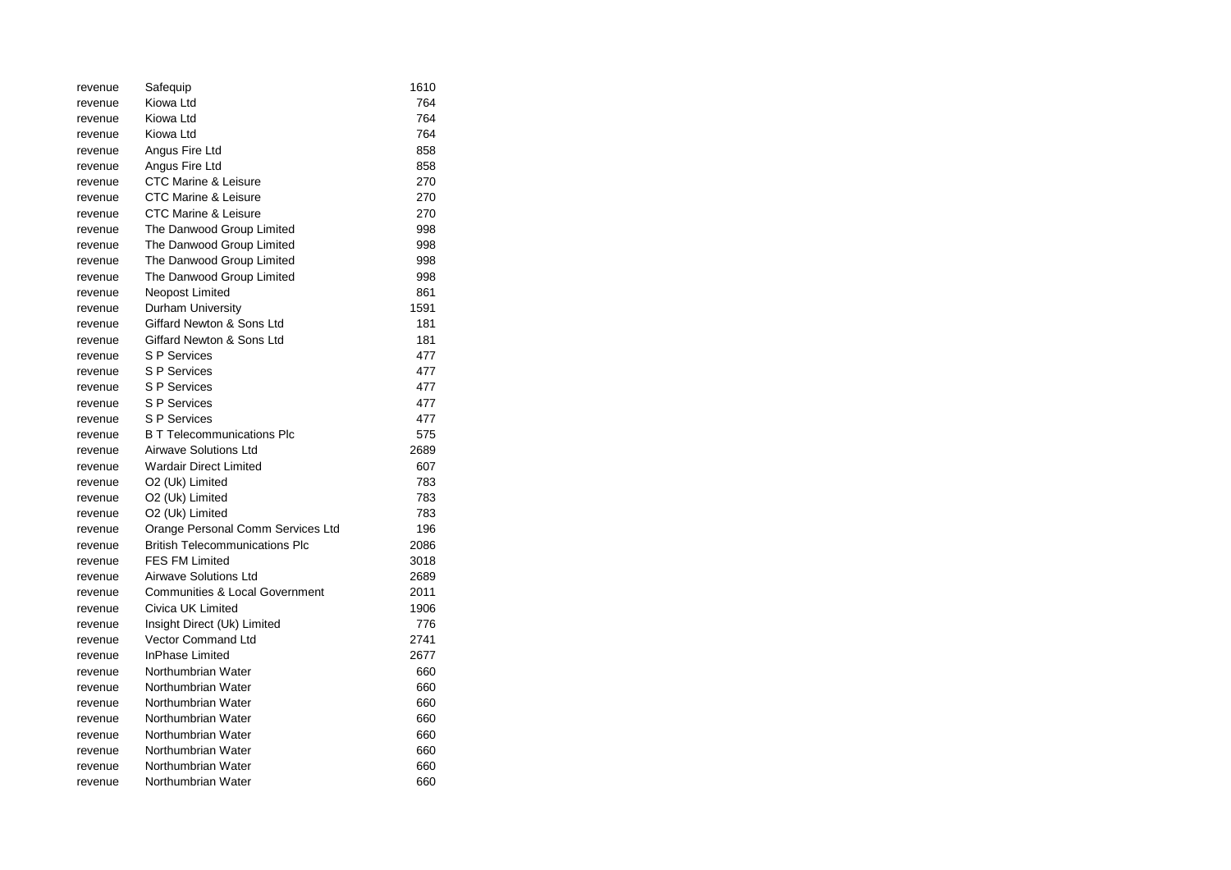| revenue | Safequip                              | 1610 |
|---------|---------------------------------------|------|
| revenue | Kiowa Ltd                             | 764  |
| revenue | Kiowa Ltd                             | 764  |
| revenue | Kiowa Ltd                             | 764  |
| revenue | Angus Fire Ltd                        | 858  |
| revenue | Angus Fire Ltd                        | 858  |
| revenue | CTC Marine & Leisure                  | 270  |
| revenue | <b>CTC Marine &amp; Leisure</b>       | 270  |
| revenue | <b>CTC Marine &amp; Leisure</b>       | 270  |
| revenue | The Danwood Group Limited             | 998  |
| revenue | The Danwood Group Limited             | 998  |
| revenue | The Danwood Group Limited             | 998  |
| revenue | The Danwood Group Limited             | 998  |
| revenue | Neopost Limited                       | 861  |
| revenue | Durham University                     | 1591 |
| revenue | Giffard Newton & Sons Ltd             | 181  |
| revenue | Giffard Newton & Sons Ltd             | 181  |
| revenue | <b>S P Services</b>                   | 477  |
| revenue | <b>S P Services</b>                   | 477  |
| revenue | <b>S P Services</b>                   | 477  |
| revenue | <b>S P Services</b>                   | 477  |
| revenue | <b>S P Services</b>                   | 477  |
| revenue | <b>B T Telecommunications Plc</b>     | 575  |
| revenue | <b>Airwave Solutions Ltd</b>          | 2689 |
| revenue | <b>Wardair Direct Limited</b>         | 607  |
| revenue | O2 (Uk) Limited                       | 783  |
| revenue | O2 (Uk) Limited                       | 783  |
| revenue | O2 (Uk) Limited                       | 783  |
| revenue | Orange Personal Comm Services Ltd     | 196  |
| revenue | <b>British Telecommunications Plc</b> | 2086 |
| revenue | <b>FES FM Limited</b>                 | 3018 |
| revenue | Airwave Solutions Ltd                 | 2689 |
| revenue | Communities & Local Government        | 2011 |
| revenue | Civica UK Limited                     | 1906 |
| revenue | Insight Direct (Uk) Limited           | 776  |
| revenue | Vector Command Ltd                    | 2741 |
| revenue | InPhase Limited                       | 2677 |
| revenue | Northumbrian Water                    | 660  |
| revenue | Northumbrian Water                    | 660  |
| revenue | Northumbrian Water                    | 660  |
| revenue | Northumbrian Water                    | 660  |
| revenue | Northumbrian Water                    | 660  |
| revenue | Northumbrian Water                    | 660  |
| revenue | Northumbrian Water                    | 660  |
| revenue | Northumbrian Water                    | 660  |